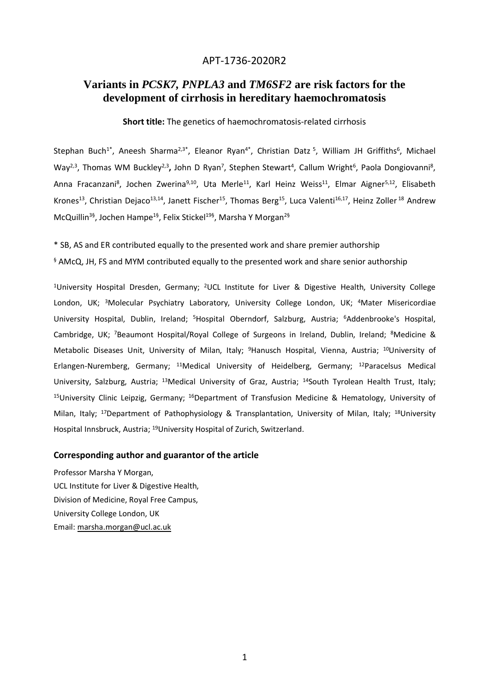# APT-1736-2020R2

# **Variants in** *PCSK7, PNPLA3* **and** *TM6SF2* **are risk factors for the development of cirrhosis in hereditary haemochromatosis**

**Short title:** The genetics of haemochromatosis-related cirrhosis

Stephan Buch<sup>1\*</sup>, Aneesh Sharma<sup>2,3\*</sup>, Eleanor Ryan<sup>4\*</sup>, Christian Datz<sup>5</sup>, William JH Griffiths<sup>6</sup>, Michael Way<sup>2,3</sup>, Thomas WM Buckley<sup>2,3</sup>, John D Ryan<sup>7</sup>, Stephen Stewart<sup>4</sup>, Callum Wright<sup>6</sup>, Paola Dongiovanni<sup>8</sup>, Anna Fracanzani<sup>8</sup>, Jochen Zwerina<sup>9,10</sup>, Uta Merle<sup>11</sup>, Karl Heinz Weiss<sup>11</sup>, Elmar Aigner<sup>5,12</sup>, Elisabeth Krones<sup>13</sup>, Christian Dejaco<sup>13,14</sup>, Janett Fischer<sup>15</sup>, Thomas Berg<sup>15</sup>, Luca Valenti<sup>16,17</sup>, Heinz Zoller <sup>18</sup> Andrew McQuillin<sup>3§</sup>, Jochen Hampe<sup>1§</sup>, Felix Stickel<sup>19§</sup>, Marsha Y Morgan<sup>2§</sup>

\* SB, AS and ER contributed equally to the presented work and share premier authorship  $§$  AMcQ, JH, FS and MYM contributed equally to the presented work and share senior authorship

<sup>1</sup>University Hospital Dresden, Germany; <sup>2</sup>UCL Institute for Liver & Digestive Health, University College London, UK; <sup>3</sup>Molecular Psychiatry Laboratory, University College London, UK; <sup>4</sup>Mater Misericordiae University Hospital, Dublin, Ireland; <sup>5</sup>Hospital Oberndorf, Salzburg, Austria; <sup>6</sup>Addenbrooke's Hospital, Cambridge, UK; <sup>7</sup>Beaumont Hospital/Royal College of Surgeons in Ireland, Dublin, Ireland; <sup>8</sup>Medicine & Metabolic Diseases Unit, University of Milan, Italy; <sup>9</sup>Hanusch Hospital, Vienna, Austria; <sup>10</sup>University of Erlangen-Nuremberg, Germany; <sup>11</sup>Medical University of Heidelberg, Germany; <sup>12</sup>Paracelsus Medical University, Salzburg, Austria; <sup>13</sup>Medical University of Graz, Austria; <sup>14</sup>South Tyrolean Health Trust, Italy; <sup>15</sup>University Clinic Leipzig, Germany; <sup>16</sup>Department of Transfusion Medicine & Hematology, University of Milan, Italy; <sup>17</sup>Department of Pathophysiology & Transplantation, University of Milan, Italy; <sup>18</sup>University Hospital Innsbruck, Austria; <sup>19</sup>University Hospital of Zurich, Switzerland.

## **Corresponding author and guarantor of the article**

Professor Marsha Y Morgan, UCL Institute for Liver & Digestive Health, Division of Medicine, Royal Free Campus, University College London, UK Email[: marsha.morgan@ucl.ac.uk](mailto:marsha.morgan@ucl.ac.uk)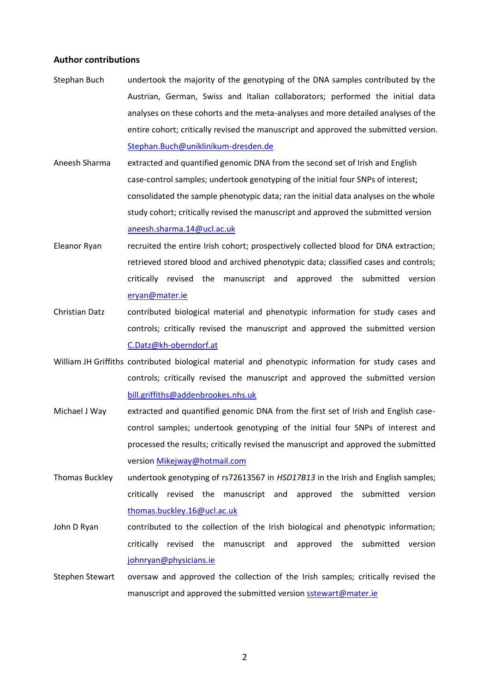#### **Author contributions**

- Stephan Buch undertook the majority of the genotyping of the DNA samples contributed by the Austrian, German, Swiss and Italian collaborators; performed the initial data analyses on these cohorts and the meta-analyses and more detailed analyses of the entire cohort; critically revised the manuscript and approved the submitted version. [Stephan.Buch@uniklinikum-dresden.de](mailto:Stephan.Buch@uniklinikum-dresden.de)
- Aneesh Sharma extracted and quantified genomic DNA from the second set of Irish and English case-control samples; undertook genotyping of the initial four SNPs of interest; consolidated the sample phenotypic data; ran the initial data analyses on the whole study cohort; critically revised the manuscript and approved the submitted version [aneesh.sharma.14@ucl.ac.uk](mailto:aneesh.sharma.14@ucl.ac.uk)
- Eleanor Ryan recruited the entire Irish cohort; prospectively collected blood for DNA extraction; retrieved stored blood and archived phenotypic data; classified cases and controls; critically revised the manuscript and approved the submitted version [eryan@mater.ie](mailto:eryan@mater.ie)
- Christian Datz contributed biological material and phenotypic information for study cases and controls; critically revised the manuscript and approved the submitted version [C.Datz@kh-oberndorf.at](mailto:C.Datz@kh-oberndorf.at)
- William JH Griffiths contributed biological material and phenotypic information for study cases and controls; critically revised the manuscript and approved the submitted version [bill.griffiths@addenbrookes.nhs.uk](mailto:bill.griffiths@addenbrookes.nhs.uk)
- Michael J Way extracted and quantified genomic DNA from the first set of Irish and English casecontrol samples; undertook genotyping of the initial four SNPs of interest and processed the results; critically revised the manuscript and approved the submitted version [Mikejway@hotmail.com](mailto:Mikejway@hotmail.com)
- Thomas Buckley undertook genotyping of rs72613567 in *HSD17B13* in the Irish and English samples; critically revised the manuscript and approved the submitted version [thomas.buckley.16@ucl.ac.uk](mailto:thomas.buckley.16@ucl.ac.uk)
- John D Ryan contributed to the collection of the Irish biological and phenotypic information; critically revised the manuscript and approved the submitted version [johnryan@physicians.ie](mailto:johnryan@physicians.ie)
- Stephen Stewart oversaw and approved the collection of the Irish samples; critically revised the manuscript and approved the submitted version [sstewart@mater.ie](mailto:sstewart@mater.ie)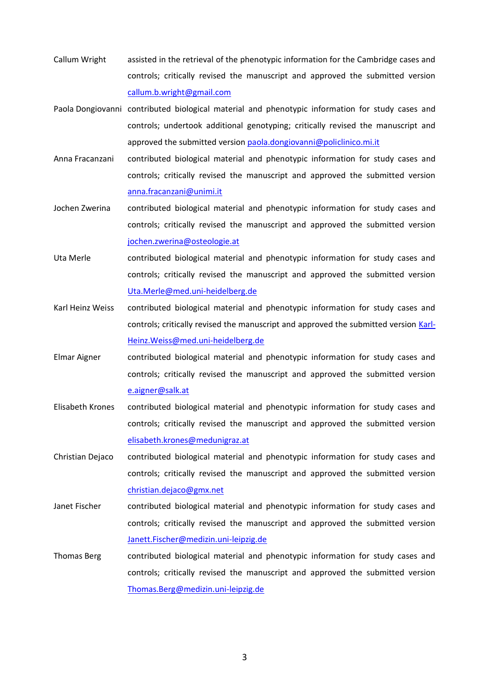- Callum Wright assisted in the retrieval of the phenotypic information for the Cambridge cases and controls; critically revised the manuscript and approved the submitted version [callum.b.wright@gmail.com](mailto:callum.b.wright@gmail.com)
- Paola Dongiovanni contributed biological material and phenotypic information for study cases and controls; undertook additional genotyping; critically revised the manuscript and approved the submitted version [paola.dongiovanni@policlinico.mi.it](mailto:paola.dongiovanni@policlinico.mi.it)
- Anna Fracanzani contributed biological material and phenotypic information for study cases and controls; critically revised the manuscript and approved the submitted version [anna.fracanzani@unimi.it](mailto:anna.fracanzani@unimi.it)
- Jochen Zwerina contributed biological material and phenotypic information for study cases and controls; critically revised the manuscript and approved the submitted version [jochen.zwerina@osteologie.at](mailto:jochen.zwerina@osteologie.at)
- Uta Merle contributed biological material and phenotypic information for study cases and controls; critically revised the manuscript and approved the submitted version [Uta.Merle@med.uni-heidelberg.de](mailto:Uta.Merle@med.uni-heidelberg.de)
- Karl Heinz Weiss contributed biological material and phenotypic information for study cases and controls; critically revised the manuscript and approved the submitted version [Karl-](mailto:Karl-Heinz.Weiss@med.uni-heidelberg.de)[Heinz.Weiss@med.uni-heidelberg.de](mailto:Karl-Heinz.Weiss@med.uni-heidelberg.de)
- Elmar Aigner contributed biological material and phenotypic information for study cases and controls; critically revised the manuscript and approved the submitted version [e.aigner@salk.at](mailto:e.aigner@salk.at)
- Elisabeth Krones contributed biological material and phenotypic information for study cases and controls; critically revised the manuscript and approved the submitted version [elisabeth.krones@medunigraz.at](mailto:elisabeth.krones@medunigraz.at)
- Christian Dejaco contributed biological material and phenotypic information for study cases and controls; critically revised the manuscript and approved the submitted version [christian.dejaco@gmx.net](mailto:christian.dejaco@gmx.net)
- Janet Fischer contributed biological material and phenotypic information for study cases and controls; critically revised the manuscript and approved the submitted version [Janett.Fischer@medizin.uni-leipzig.de](mailto:Janett.Fischer@medizin.uni-leipzig.de)
- Thomas Berg contributed biological material and phenotypic information for study cases and controls; critically revised the manuscript and approved the submitted version [Thomas.Berg@medizin.uni-leipzig.de](mailto:Thomas.Berg@medizin.uni-leipzig.de)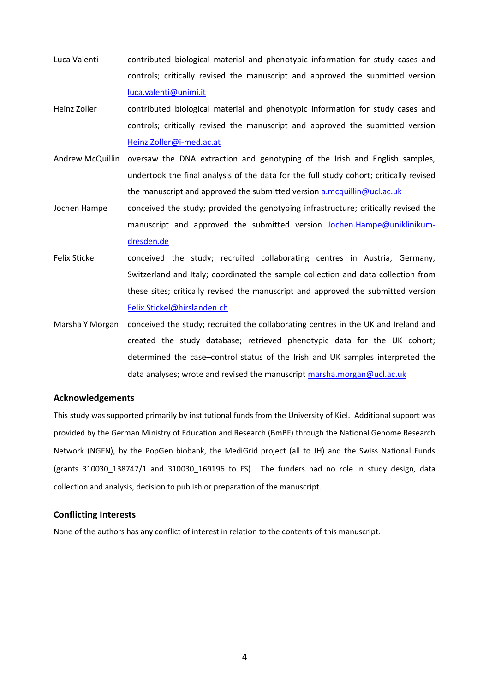- Luca Valenti contributed biological material and phenotypic information for study cases and controls; critically revised the manuscript and approved the submitted version [luca.valenti@unimi.it](mailto:luca.valenti@unimi.it)
- Heinz Zoller contributed biological material and phenotypic information for study cases and controls; critically revised the manuscript and approved the submitted version [Heinz.Zoller@i-med.ac.at](mailto:Heinz.Zoller@i-med.ac.at)
- Andrew McQuillin oversaw the DNA extraction and genotyping of the Irish and English samples, undertook the final analysis of the data for the full study cohort; critically revised the manuscript and approved the submitted version [a.mcquillin@ucl.ac.uk](mailto:a.mcquillin@ucl.ac.uk)
- Jochen Hampe conceived the study; provided the genotyping infrastructure; critically revised the manuscript and approved the submitted version [Jochen.Hampe@uniklinikum](mailto:Jochen.Hampe@uniklinikum-dresden.de)[dresden.de](mailto:Jochen.Hampe@uniklinikum-dresden.de)
- Felix Stickel conceived the study; recruited collaborating centres in Austria, Germany, Switzerland and Italy; coordinated the sample collection and data collection from these sites; critically revised the manuscript and approved the submitted version [Felix.Stickel@hirslanden.ch](mailto:Felix.Stickel@hirslanden.ch)
- Marsha Y Morgan conceived the study; recruited the collaborating centres in the UK and Ireland and created the study database; retrieved phenotypic data for the UK cohort; determined the case–control status of the Irish and UK samples interpreted the data analyses; wrote and revised the manuscript [marsha.morgan@ucl.ac.uk](mailto:marsha.morgan@ucl.ac.uk)

## **Acknowledgements**

This study was supported primarily by institutional funds from the University of Kiel. Additional support was provided by the German Ministry of Education and Research (BmBF) through the National Genome Research Network (NGFN), by the PopGen biobank, the MediGrid project (all to JH) and the Swiss National Funds (grants 310030 138747/1 and 310030 169196 to FS). The funders had no role in study design, data collection and analysis, decision to publish or preparation of the manuscript.

## **Conflicting Interests**

None of the authors has any conflict of interest in relation to the contents of this manuscript.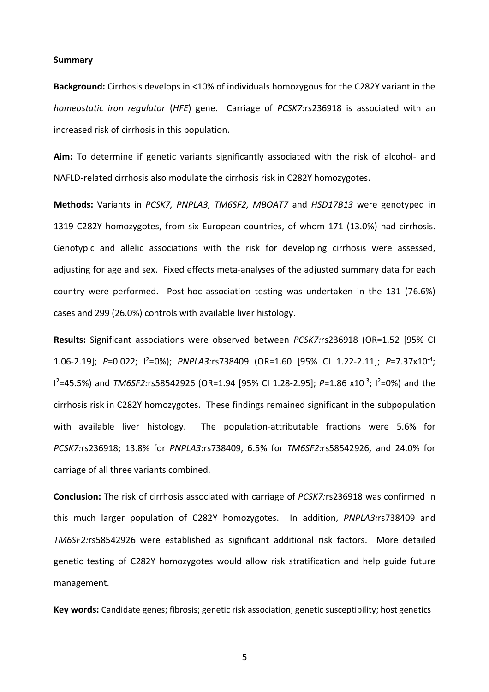#### **Summary**

**Background:** Cirrhosis develops in <10% of individuals homozygous for the C282Y variant in the *homeostatic iron regulator* (*HFE*) gene. Carriage of *PCSK7:*rs236918 is associated with an increased risk of cirrhosis in this population.

**Aim:** To determine if genetic variants significantly associated with the risk of alcohol- and NAFLD-related cirrhosis also modulate the cirrhosis risk in C282Y homozygotes.

**Methods:** Variants in *PCSK7, PNPLA3, TM6SF2, MBOAT7* and *HSD17B13* were genotyped in 1319 C282Y homozygotes, from six European countries, of whom 171 (13.0%) had cirrhosis. Genotypic and allelic associations with the risk for developing cirrhosis were assessed, adjusting for age and sex. Fixed effects meta-analyses of the adjusted summary data for each country were performed. Post-hoc association testing was undertaken in the 131 (76.6%) cases and 299 (26.0%) controls with available liver histology.

**Results:** Significant associations were observed between *PCSK7:*rs236918 (OR=1.52 [95% CI 1.06-2.19]; *P*=0.022; I<sup>2</sup>=0%); *PNPLA3:*rs738409 (OR=1.60 [95% CI 1.22-2.11]; *P*=7.37x10-4 ; l<sup>2</sup>=45.5%) and *TM6SF2:*rs58542926 (OR=1.94 [95% CI 1.28-2.95]; *P*=1.86 x10<sup>-3</sup>; l<sup>2</sup>=0%) and the cirrhosis risk in C282Y homozygotes. These findings remained significant in the subpopulation with available liver histology. The population-attributable fractions were 5.6% for *PCSK7:*rs236918; 13.8% for *PNPLA3*:rs738409, 6.5% for *TM6SF2:*rs58542926, and 24.0% for carriage of all three variants combined.

**Conclusion:** The risk of cirrhosis associated with carriage of *PCSK7:*rs236918 was confirmed in this much larger population of C282Y homozygotes. In addition, *PNPLA3:*rs738409 and *TM6SF2:*rs58542926 were established as significant additional risk factors. More detailed genetic testing of C282Y homozygotes would allow risk stratification and help guide future management.

**Key words:** Candidate genes; fibrosis; genetic risk association; genetic susceptibility; host genetics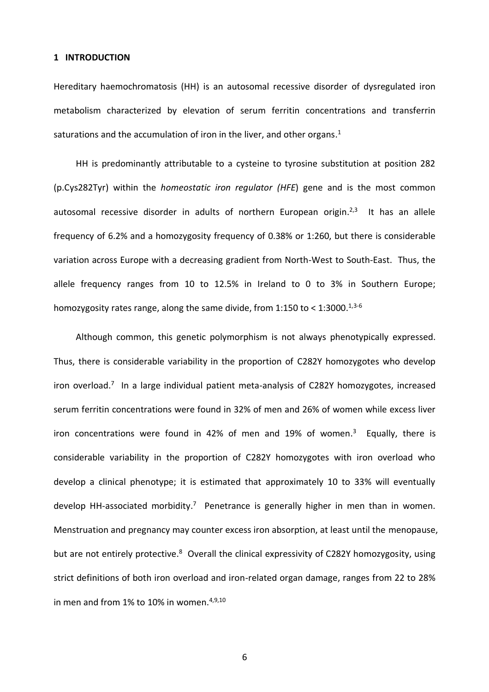#### **1 INTRODUCTION**

Hereditary haemochromatosis (HH) is an autosomal recessive disorder of dysregulated iron metabolism characterized by elevation of serum ferritin concentrations and transferrin saturations and the accumulation of iron in the liver, and other organs.<sup>1</sup>

HH is predominantly attributable to a cysteine to tyrosine substitution at position 282 (p.Cys282Tyr) within the *homeostatic iron regulator (HFE*) gene and is the most common autosomal recessive disorder in adults of northern European origin.<sup>2,3</sup> It has an allele frequency of 6.2% and a homozygosity frequency of 0.38% or 1:260, but there is considerable variation across Europe with a decreasing gradient from North-West to South-East. Thus, the allele frequency ranges from 10 to 12.5% in Ireland to 0 to 3% in Southern Europe; homozygosity rates range, along the same divide, from 1:150 to < 1:3000. $^{1,3\text{-}6}$ 

Although common, this genetic polymorphism is not always phenotypically expressed. Thus, there is considerable variability in the proportion of C282Y homozygotes who develop iron overload.<sup>7</sup> In a large individual patient meta-analysis of C282Y homozygotes, increased serum ferritin concentrations were found in 32% of men and 26% of women while excess liver iron concentrations were found in 42% of men and 19% of women.<sup>3</sup> Equally, there is considerable variability in the proportion of C282Y homozygotes with iron overload who develop a clinical phenotype; it is estimated that approximately 10 to 33% will eventually develop HH-associated morbidity.<sup>7</sup> Penetrance is generally higher in men than in women. Menstruation and pregnancy may counter excess iron absorption, at least until the menopause, but are not entirely protective.<sup>8</sup> Overall the clinical expressivity of C282Y homozygosity, using strict definitions of both iron overload and iron-related organ damage, ranges from 22 to 28% in men and from 1% to 10% in women.<sup>4,9,10</sup>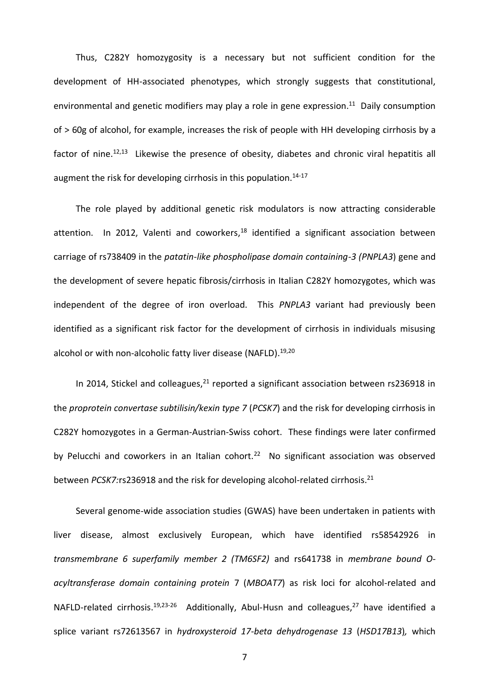Thus, C282Y homozygosity is a necessary but not sufficient condition for the development of HH-associated phenotypes, which strongly suggests that constitutional, environmental and genetic modifiers may play a role in gene expression.<sup>11</sup> Daily consumption of > 60g of alcohol, for example, increases the risk of people with HH developing cirrhosis by a factor of nine.<sup>12,13</sup> Likewise the presence of obesity, diabetes and chronic viral hepatitis all augment the risk for developing cirrhosis in this population.<sup>14-17</sup>

The role played by additional genetic risk modulators is now attracting considerable attention. In 2012, Valenti and coworkers,<sup>18</sup> identified a significant association between carriage of rs738409 in the *patatin-like phospholipase domain containing-3 (PNPLA3*) gene and the development of severe hepatic fibrosis/cirrhosis in Italian C282Y homozygotes, which was independent of the degree of iron overload. This *PNPLA3* variant had previously been identified as a significant risk factor for the development of cirrhosis in individuals misusing alcohol or with non-alcoholic fatty liver disease (NAFLD).<sup>19,20</sup>

In 2014, Stickel and colleagues, $^{21}$  reported a significant association between rs236918 in the *proprotein convertase subtilisin/kexin type 7* (*PCSK7*) and the risk for developing cirrhosis in C282Y homozygotes in a German-Austrian-Swiss cohort. These findings were later confirmed by Pelucchi and coworkers in an Italian cohort.<sup>22</sup> No significant association was observed between *PCSK7:*rs236918 and the risk for developing alcohol-related cirrhosis. 21

Several genome-wide association studies (GWAS) have been undertaken in patients with liver disease, almost exclusively European, which have identified rs58542926 in *transmembrane 6 superfamily member 2 (TM6SF2)* and rs641738 in *membrane bound Oacyltransferase domain containing protein* 7 (*MBOAT7*) as risk loci for alcohol-related and NAFLD-related cirrhosis.<sup>19,23-26</sup> Additionally, Abul-Husn and colleagues,<sup>27</sup> have identified a splice variant rs72613567 in *hydroxysteroid 17-beta dehydrogenase 13* (*HSD17B13*)*,* which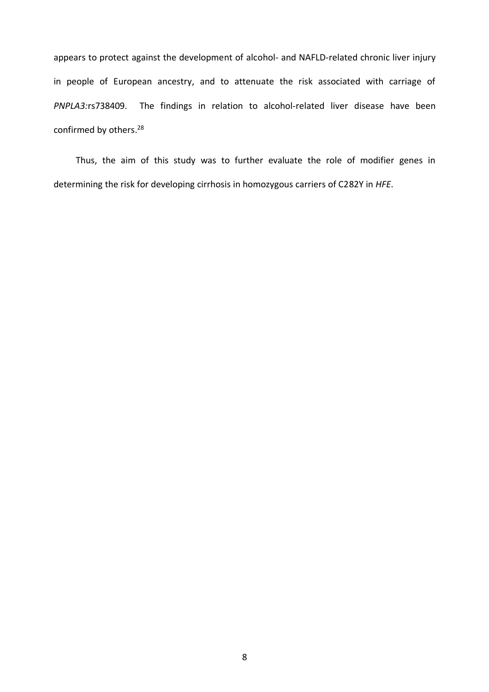appears to protect against the development of alcohol- and NAFLD-related chronic liver injury in people of European ancestry, and to attenuate the risk associated with carriage of *PNPLA3:*rs738409. The findings in relation to alcohol-related liver disease have been confirmed by others. 28

Thus, the aim of this study was to further evaluate the role of modifier genes in determining the risk for developing cirrhosis in homozygous carriers of C282Y in *HFE*.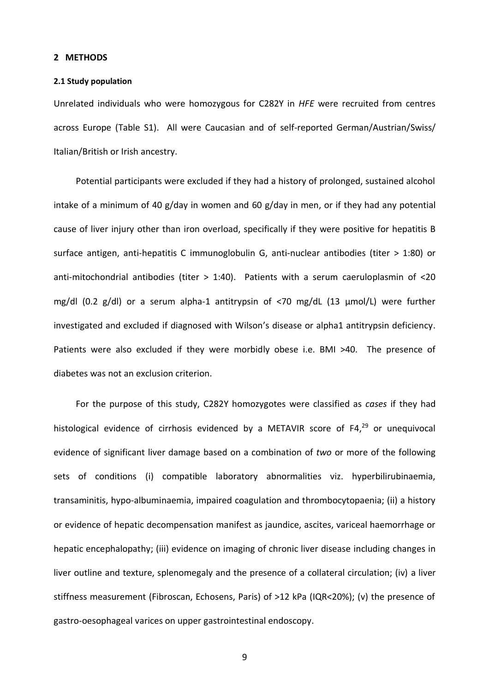#### **2 METHODS**

#### **2.1 Study population**

Unrelated individuals who were homozygous for C282Y in *HFE* were recruited from centres across Europe (Table S1). All were Caucasian and of self-reported German/Austrian/Swiss/ Italian/British or Irish ancestry.

Potential participants were excluded if they had a history of prolonged, sustained alcohol intake of a minimum of 40 g/day in women and 60 g/day in men, or if they had any potential cause of liver injury other than iron overload, specifically if they were positive for hepatitis B surface antigen, anti-hepatitis C immunoglobulin G, anti-nuclear antibodies (titer > 1:80) or anti-mitochondrial antibodies (titer > 1:40). Patients with a serum caeruloplasmin of <20 mg/dl (0.2 g/dl) or a serum alpha-1 antitrypsin of <70 mg/dL (13 μmol/L) were further investigated and excluded if diagnosed with Wilson's disease or alpha1 antitrypsin deficiency. Patients were also excluded if they were morbidly obese i.e. BMI >40. The presence of diabetes was not an exclusion criterion.

For the purpose of this study, C282Y homozygotes were classified as *cases* if they had histological evidence of cirrhosis evidenced by a METAVIR score of F4,<sup>29</sup> or unequivocal evidence of significant liver damage based on a combination of *two* or more of the following sets of conditions (i) compatible laboratory abnormalities viz. hyperbilirubinaemia, transaminitis, hypo-albuminaemia, impaired coagulation and thrombocytopaenia; (ii) a history or evidence of hepatic decompensation manifest as jaundice, ascites, variceal haemorrhage or hepatic encephalopathy; (iii) evidence on imaging of chronic liver disease including changes in liver outline and texture, splenomegaly and the presence of a collateral circulation; (iv) a liver stiffness measurement (Fibroscan, Echosens, Paris) of >12 kPa (IQR<20%); (v) the presence of gastro-oesophageal varices on upper gastrointestinal endoscopy.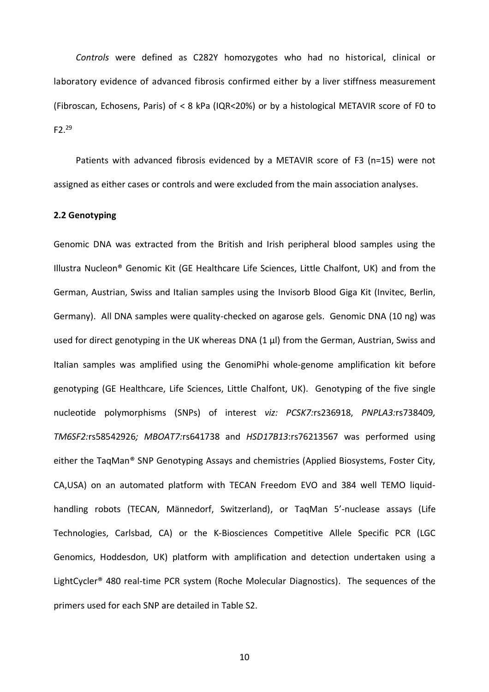*Controls* were defined as C282Y homozygotes who had no historical, clinical or laboratory evidence of advanced fibrosis confirmed either by a liver stiffness measurement (Fibroscan, Echosens, Paris) of < 8 kPa (IQR<20%) or by a histological METAVIR score of F0 to  $F2.<sup>29</sup>$ 

Patients with advanced fibrosis evidenced by a METAVIR score of F3 (n=15) were not assigned as either cases or controls and were excluded from the main association analyses.

## **2.2 Genotyping**

Genomic DNA was extracted from the British and Irish peripheral blood samples using the Illustra Nucleon® Genomic Kit (GE Healthcare Life Sciences, Little Chalfont, UK) and from the German, Austrian, Swiss and Italian samples using the Invisorb Blood Giga Kit (Invitec, Berlin, Germany). All DNA samples were quality-checked on agarose gels. Genomic DNA (10 ng) was used for direct genotyping in the UK whereas DNA (1 μl) from the German, Austrian, Swiss and Italian samples was amplified using the GenomiPhi whole-genome amplification kit before genotyping (GE Healthcare, Life Sciences, Little Chalfont, UK). Genotyping of the five single nucleotide polymorphisms (SNPs) of interest *viz: PCSK7:*rs236918, *PNPLA3:*rs738409*, TM6SF2:*rs58542926*; MBOAT7:*rs641738 and *HSD17B13*:rs76213567 was performed using either the TaqMan® SNP Genotyping Assays and chemistries (Applied Biosystems, Foster City, CA,USA) on an automated platform with TECAN Freedom EVO and 384 well TEMO liquidhandling robots (TECAN, Männedorf, Switzerland), or TaqMan 5'-nuclease assays (Life Technologies, Carlsbad, CA) or the K-Biosciences Competitive Allele Specific PCR (LGC Genomics, Hoddesdon, UK) platform with amplification and detection undertaken using a LightCycler® 480 real-time PCR system (Roche Molecular Diagnostics). The sequences of the primers used for each SNP are detailed in Table S2.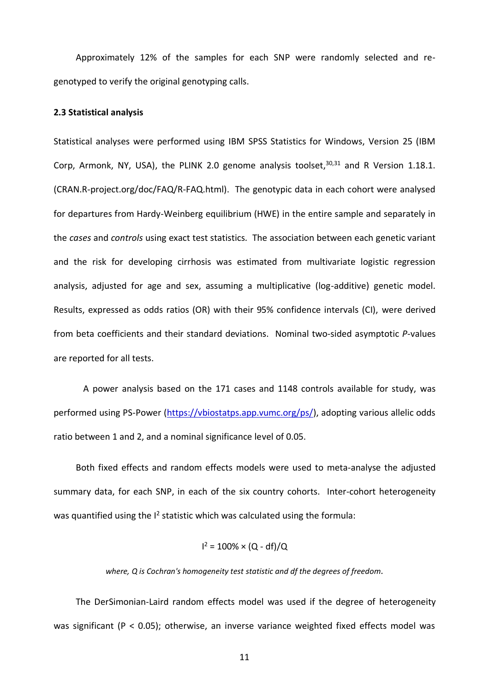Approximately 12% of the samples for each SNP were randomly selected and regenotyped to verify the original genotyping calls.

## **2.3 Statistical analysis**

Statistical analyses were performed using IBM SPSS Statistics for Windows, Version 25 (IBM Corp, Armonk, NY, USA), the PLINK 2.0 genome analysis toolset,<sup>30,31</sup> and R Version 1.18.1. (CRAN.R-project.org/doc/FAQ/R-FAQ.html). The genotypic data in each cohort were analysed for departures from Hardy-Weinberg equilibrium (HWE) in the entire sample and separately in the *cases* and *controls* using exact test statistics*.* The association between each genetic variant and the risk for developing cirrhosis was estimated from multivariate logistic regression analysis, adjusted for age and sex, assuming a multiplicative (log-additive) genetic model. Results, expressed as odds ratios (OR) with their 95% confidence intervals (CI), were derived from beta coefficients and their standard deviations. Nominal two-sided asymptotic *P*-values are reported for all tests.

A power analysis based on the 171 cases and 1148 controls available for study, was performed using PS-Power [\(https://vbiostatps.app.vumc.org/ps/\)](https://vbiostatps.app.vumc.org/ps/), adopting various allelic odds ratio between 1 and 2, and a nominal significance level of 0.05.

Both fixed effects and random effects models were used to meta-analyse the adjusted summary data, for each SNP, in each of the six country cohorts. Inter-cohort heterogeneity was quantified using the  $I^2$  statistic which was calculated using the formula:

$$
I^2 = 100\% \times (Q - df)/Q
$$

*where, Q is Cochran's homogeneity test statistic and df the degrees of freedom.*

The DerSimonian-Laird random effects model was used if the degree of heterogeneity was significant (P < 0.05); otherwise, an inverse variance weighted fixed effects model was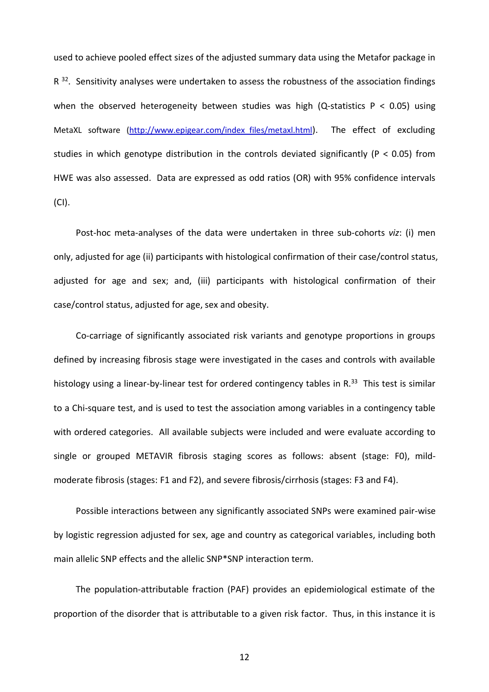used to achieve pooled effect sizes of the adjusted summary data using the Metafor package in  $R$ <sup>32</sup>. Sensitivity analyses were undertaken to assess the robustness of the association findings when the observed heterogeneity between studies was high (Q-statistics  $P < 0.05$ ) using MetaXL software [\(http://www.epigear.com/index\\_files/metaxl.html](http://www.epigear.com/index_files/metaxl.htmlo)). The effect of excluding studies in which genotype distribution in the controls deviated significantly (P < 0.05) from HWE was also assessed. Data are expressed as odd ratios (OR) with 95% confidence intervals (CI).

Post-hoc meta-analyses of the data were undertaken in three sub-cohorts *viz*: (i) men only, adjusted for age (ii) participants with histological confirmation of their case/control status, adjusted for age and sex; and, (iii) participants with histological confirmation of their case/control status, adjusted for age, sex and obesity.

Co-carriage of significantly associated risk variants and genotype proportions in groups defined by increasing fibrosis stage were investigated in the cases and controls with available histology using a linear-by-linear test for ordered contingency tables in R.<sup>33</sup> This test is similar to a Chi-square test, and is used to test the association among variables in a contingency table with ordered categories. All available subjects were included and were evaluate according to single or grouped METAVIR fibrosis staging scores as follows: absent (stage: F0), mildmoderate fibrosis (stages: F1 and F2), and severe fibrosis/cirrhosis (stages: F3 and F4).

Possible interactions between any significantly associated SNPs were examined pair-wise by logistic regression adjusted for sex, age and country as categorical variables, including both main allelic SNP effects and the allelic SNP\*SNP interaction term.

The population-attributable fraction (PAF) provides an epidemiological estimate of the proportion of the disorder that is attributable to a given risk factor. Thus, in this instance it is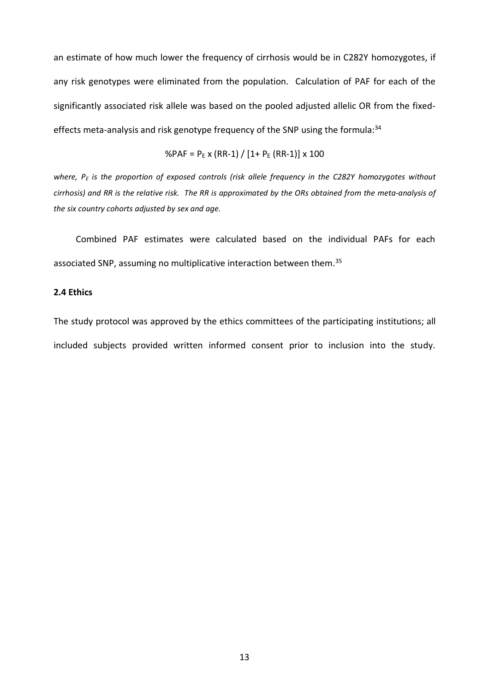an estimate of how much lower the frequency of cirrhosis would be in C282Y homozygotes, if any risk genotypes were eliminated from the population. Calculation of PAF for each of the significantly associated risk allele was based on the pooled adjusted allelic OR from the fixedeffects meta-analysis and risk genotype frequency of the SNP using the formula:<sup>34</sup>

$$
\%PAF = P_{E} \times (RR-1) / [1 + P_{E} (RR-1)] \times 100
$$

*where, P<sup>E</sup> is the proportion of exposed controls (risk allele frequency in the C282Y homozygotes without cirrhosis) and RR is the relative risk. The RR is approximated by the ORs obtained from the meta-analysis of the six country cohorts adjusted by sex and age.*

Combined PAF estimates were calculated based on the individual PAFs for each associated SNP, assuming no multiplicative interaction between them.<sup>35</sup>

## **2.4 Ethics**

The study protocol was approved by the ethics committees of the participating institutions; all included subjects provided written informed consent prior to inclusion into the study.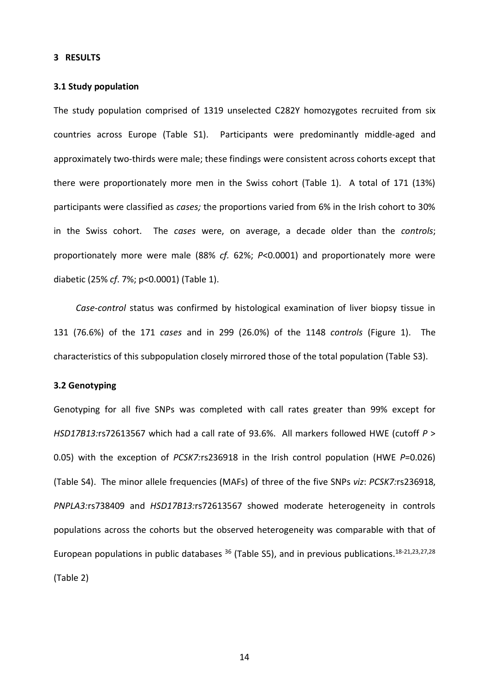#### **3 RESULTS**

## **3.1 Study population**

The study population comprised of 1319 unselected C282Y homozygotes recruited from six countries across Europe (Table S1). Participants were predominantly middle-aged and approximately two-thirds were male; these findings were consistent across cohorts except that there were proportionately more men in the Swiss cohort (Table 1). A total of 171 (13%) participants were classified as *cases;* the proportions varied from 6% in the Irish cohort to 30% in the Swiss cohort. The *cases* were, on average, a decade older than the *controls*; proportionately more were male (88% *cf.* 62%; *P*<0.0001) and proportionately more were diabetic (25% *cf*. 7%; p<0.0001) (Table 1).

*Case-control* status was confirmed by histological examination of liver biopsy tissue in 131 (76.6%) of the 171 *cases* and in 299 (26.0%) of the 1148 *controls* (Figure 1). The characteristics of this subpopulation closely mirrored those of the total population (Table S3).

## **3.2 Genotyping**

Genotyping for all five SNPs was completed with call rates greater than 99% except for *HSD17B13:*rs72613567 which had a call rate of 93.6%. All markers followed HWE (cutoff *P* > 0.05) with the exception of *PCSK7:*rs236918 in the Irish control population (HWE *P*=0.026) (Table S4). The minor allele frequencies (MAFs) of three of the five SNPs *viz*: *PCSK7:*rs236918, *PNPLA3:*rs738409 and *HSD17B13:*rs72613567 showed moderate heterogeneity in controls populations across the cohorts but the observed heterogeneity was comparable with that of European populations in public databases <sup>36</sup> (Table S5), and in previous publications.<sup>18-21,23,27,28</sup> (Table 2)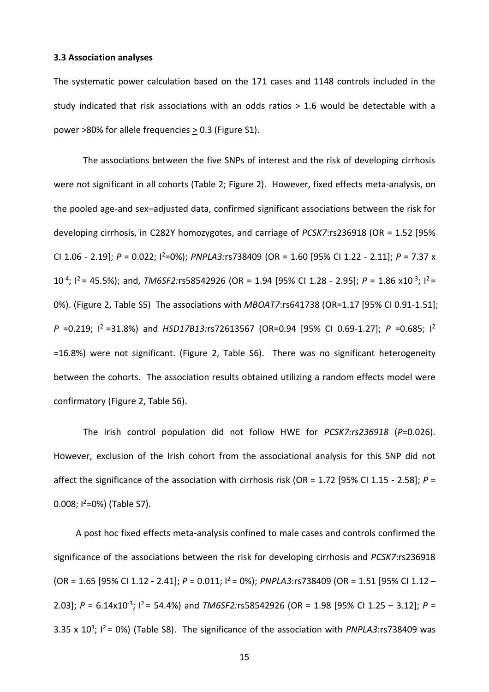#### **3.3 Association analyses**

The systematic power calculation based on the 171 cases and 1148 controls included in the study indicated that risk associations with an odds ratios > 1.6 would be detectable with a power >80% for allele frequencies  $\geq$  0.3 (Figure S1).

The associations between the five SNPs of interest and the risk of developing cirrhosis were not significant in all cohorts (Table 2; Figure 2). However, fixed effects meta-analysis, on the pooled age-and sex–adjusted data, confirmed significant associations between the risk for developing cirrhosis, in C282Y homozygotes, and carriage of *PCSK7*:rs236918 (OR = 1.52 [95% CI 1.06 - 2.19]; *P* = 0.022; I<sup>2</sup>=0%); *PNPLA3:*rs738409 (OR = 1.60 [95% CI 1.22 - 2.11]; *P* = 7.37 x 10<sup>-4</sup>; l<sup>2</sup> = 45.5%); and, *TM6SF2:*rs58542926 (OR = 1.94 [95% CI 1.28 - 2.95]; *P* = 1.86 x10<sup>-3</sup>; l<sup>2</sup> = 0%). (Figure 2, Table S5) The associations with *MBOAT7*:rs641738 (OR=1.17 [95% CI 0.91-1.51]; *P* =0.219; I <sup>2</sup>=31.8%) and *HSD17B13:*rs72613567 (OR=0.94 [95% CI 0.69-1.27]; *P* =0.685; I 2 =16.8%) were not significant. (Figure 2, Table S6). There was no significant heterogeneity between the cohorts. The association results obtained utilizing a random effects model were confirmatory (Figure 2, Table S6).

The Irish control population did not follow HWE for *PCSK7:rs236918* (*P*=0.026). However, exclusion of the Irish cohort from the associational analysis for this SNP did not affect the significance of the association with cirrhosis risk (OR = 1.72 [95% CI 1.15 - 2.58]; *P* = 0.008;  $1^2$ =0%) (Table S7).

A post hoc fixed effects meta-analysis confined to male cases and controls confirmed the significance of the associations between the risk for developing cirrhosis and *PCSK7*:rs236918 (OR = 1.65 [95% CI 1.12 - 2.41]; *P* = 0.011; I<sup>2</sup> = 0%); *PNPLA3*:rs738409 (OR = 1.51 [95% CI 1.12 – 2.03]; *P* = 6.14x10<sup>-3</sup>;  $I^2$  = 54.4%) and *TM6SF2:*rs58542926 (OR = 1.98 [95% CI 1.25 – 3.12]; *P* = 3.35 x  $10^3$ ;  $1^2$  = 0%) (Table S8). The significance of the association with *PNPLA3*:rs738409 was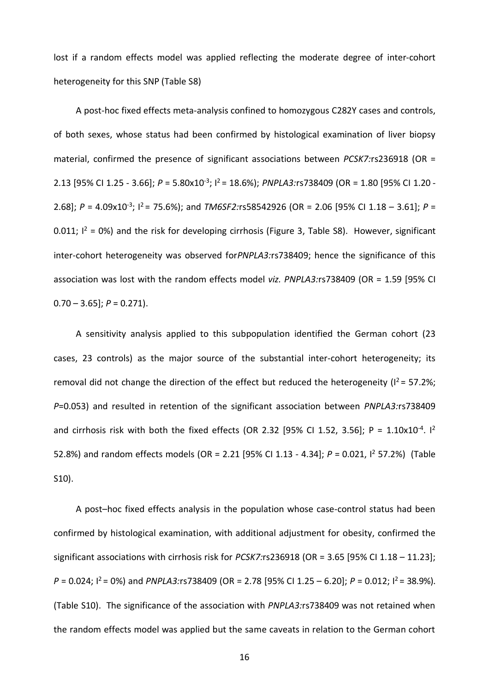lost if a random effects model was applied reflecting the moderate degree of inter-cohort heterogeneity for this SNP (Table S8)

A post-hoc fixed effects meta-analysis confined to homozygous C282Y cases and controls, of both sexes, whose status had been confirmed by histological examination of liver biopsy material, confirmed the presence of significant associations between *PCSK7:*rs236918 (OR = 2.13 [95% CI 1.25 - 3.66]; *P* = 5.80x10-3 ; I<sup>2</sup>= 18.6%); *PNPLA3:*rs738409 (OR = 1.80 [95% CI 1.20 - 2.68]; *P* = 4.09x10<sup>-3</sup>; <sup>12</sup> = 75.6%); and *TM6SF2:*rs58542926 (OR = 2.06 [95% CI 1.18 – 3.61]; *P* = 0.011;  $I^2 = 0$ %) and the risk for developing cirrhosis (Figure 3, Table S8). However, significant inter-cohort heterogeneity was observed for*PNPLA3:*rs738409; hence the significance of this association was lost with the random effects model *viz. PNPLA3:*rs738409 (OR = 1.59 [95% CI  $0.70 - 3.65$ :  $P = 0.271$ .

A sensitivity analysis applied to this subpopulation identified the German cohort (23 cases, 23 controls) as the major source of the substantial inter-cohort heterogeneity; its removal did not change the direction of the effect but reduced the heterogeneity ( $I^2$  = 57.2%; *P*=0.053) and resulted in retention of the significant association between *PNPLA3:*rs738409 and cirrhosis risk with both the fixed effects (OR 2.32 [95% CI 1.52, 3.56]; P =  $1.10 \times 10^{-4}$ . I<sup>2</sup> 52.8%) and random effects models (OR = 2.21 [95% CI 1.13 - 4.34]; *P* = 0.021, I<sup>2</sup> 57.2%) (Table S10).

A post–hoc fixed effects analysis in the population whose case-control status had been confirmed by histological examination, with additional adjustment for obesity, confirmed the significant associations with cirrhosis risk for *PCSK7:*rs236918 (OR = 3.65 [95% CI 1.18 – 11.23]; *P* = 0.024;  $I^2$  = 0%) and *PNPLA3:*rs738409 (OR = 2.78 [95% CI 1.25 – 6.20]; *P* = 0.012;  $I^2$  = 38.9%). (Table S10). The significance of the association with *PNPLA3:*rs738409 was not retained when the random effects model was applied but the same caveats in relation to the German cohort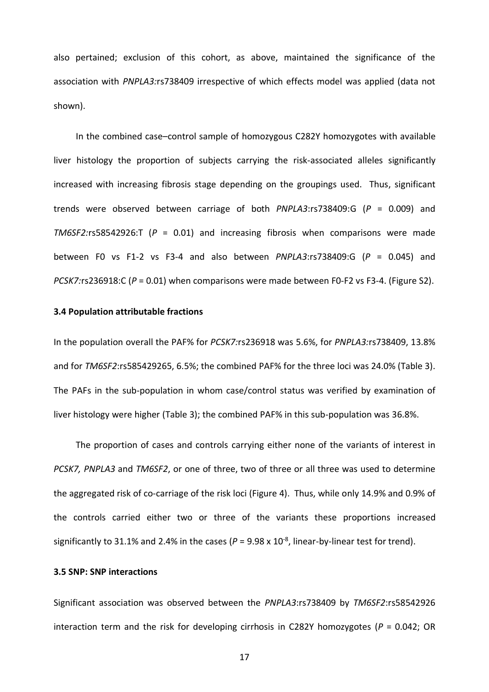also pertained; exclusion of this cohort, as above, maintained the significance of the association with *PNPLA3:*rs738409 irrespective of which effects model was applied (data not shown).

In the combined case–control sample of homozygous C282Y homozygotes with available liver histology the proportion of subjects carrying the risk-associated alleles significantly increased with increasing fibrosis stage depending on the groupings used. Thus, significant trends were observed between carriage of both *PNPLA3*:rs738409:G (*P* = 0.009) and *TM6SF2:*rs58542926:T (*P* = 0.01) and increasing fibrosis when comparisons were made between F0 vs F1-2 vs F3-4 and also between *PNPLA3*:rs738409:G (*P* = 0.045) and *PCSK7:*rs236918:C (*P* = 0.01) when comparisons were made between F0-F2 vs F3-4. (Figure S2).

## **3.4 Population attributable fractions**

In the population overall the PAF% for *PCSK7:*rs236918 was 5.6%, for *PNPLA3:*rs738409, 13.8% and for *TM6SF2*:rs585429265, 6.5%; the combined PAF% for the three loci was 24.0% (Table 3). The PAFs in the sub-population in whom case/control status was verified by examination of liver histology were higher (Table 3); the combined PAF% in this sub-population was 36.8%.

The proportion of cases and controls carrying either none of the variants of interest in *PCSK7, PNPLA3* and *TM6SF2*, or one of three, two of three or all three was used to determine the aggregated risk of co-carriage of the risk loci (Figure 4). Thus, while only 14.9% and 0.9% of the controls carried either two or three of the variants these proportions increased significantly to 31.1% and 2.4% in the cases ( $P = 9.98 \times 10^{-8}$ , linear-by-linear test for trend).

## **3.5 SNP: SNP interactions**

Significant association was observed between the *PNPLA3*:rs738409 by *TM6SF2*:rs58542926 interaction term and the risk for developing cirrhosis in C282Y homozygotes (*P* = 0.042; OR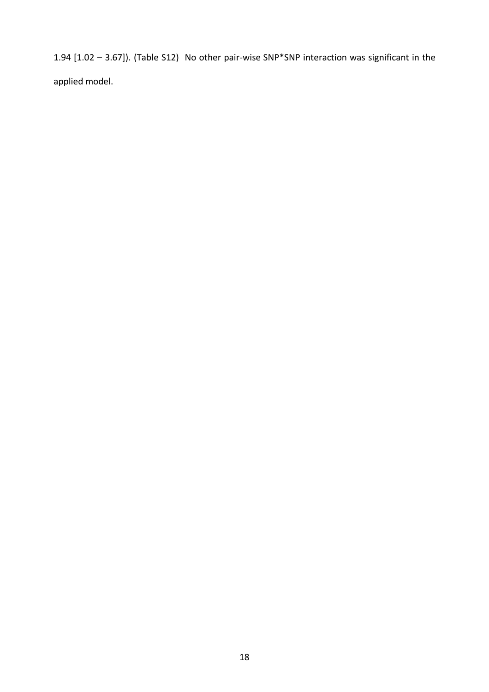1.94 [1.02 – 3.67]). (Table S12) No other pair-wise SNP\*SNP interaction was significant in the applied model.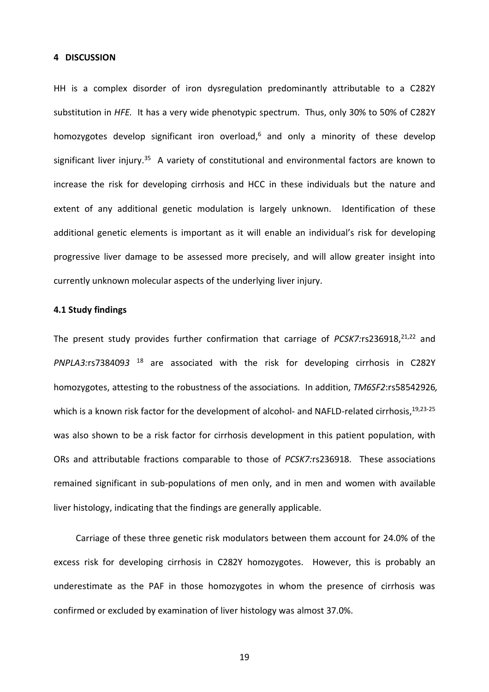#### **4 DISCUSSION**

HH is a complex disorder of iron dysregulation predominantly attributable to a C282Y substitution in *HFE.* It has a very wide phenotypic spectrum. Thus, only 30% to 50% of C282Y homozygotes develop significant iron overload,<sup>6</sup> and only a minority of these develop significant liver injury.<sup>35</sup> A variety of constitutional and environmental factors are known to increase the risk for developing cirrhosis and HCC in these individuals but the nature and extent of any additional genetic modulation is largely unknown. Identification of these additional genetic elements is important as it will enable an individual's risk for developing progressive liver damage to be assessed more precisely, and will allow greater insight into currently unknown molecular aspects of the underlying liver injury.

## **4.1 Study findings**

The present study provides further confirmation that carriage of *PCSK7:*rs236918,<sup>21,22</sup> and *PNPLA3:*rs738409*3* <sup>18</sup> are associated with the risk for developing cirrhosis in C282Y homozygotes, attesting to the robustness of the associations*.* In addition, *TM6SF2*:rs58542926*,*  which is a known risk factor for the development of alcohol- and NAFLD-related cirrhosis,<sup>19,23-25</sup> was also shown to be a risk factor for cirrhosis development in this patient population, with ORs and attributable fractions comparable to those of *PCSK7:*rs236918. These associations remained significant in sub-populations of men only, and in men and women with available liver histology, indicating that the findings are generally applicable.

Carriage of these three genetic risk modulators between them account for 24.0% of the excess risk for developing cirrhosis in C282Y homozygotes. However, this is probably an underestimate as the PAF in those homozygotes in whom the presence of cirrhosis was confirmed or excluded by examination of liver histology was almost 37.0%.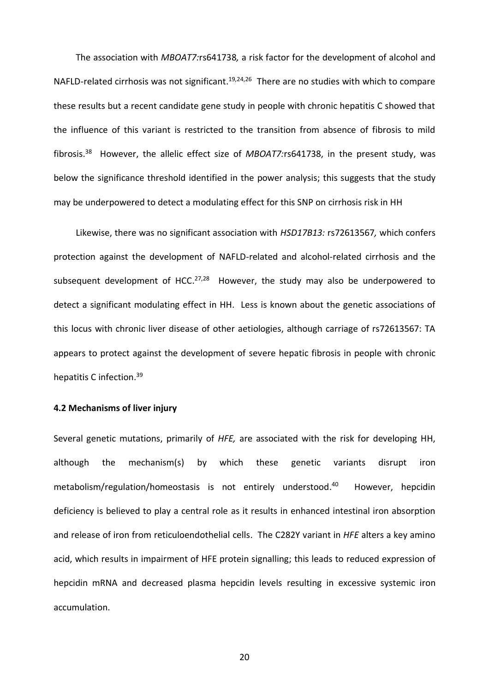The association with *MBOAT7:*rs641738*,* a risk factor for the development of alcohol and NAFLD-related cirrhosis was not significant.<sup>19,24,26</sup> There are no studies with which to compare these results but a recent candidate gene study in people with chronic hepatitis C showed that the influence of this variant is restricted to the transition from absence of fibrosis to mild fibrosis. <sup>38</sup> However, the allelic effect size of *MBOAT7:*rs641738, in the present study, was below the significance threshold identified in the power analysis; this suggests that the study may be underpowered to detect a modulating effect for this SNP on cirrhosis risk in HH

Likewise, there was no significant association with *HSD17B13:* rs72613567*,* which confers protection against the development of NAFLD-related and alcohol-related cirrhosis and the subsequent development of HCC.<sup>27,28</sup> However, the study may also be underpowered to detect a significant modulating effect in HH. Less is known about the genetic associations of this locus with chronic liver disease of other aetiologies, although carriage of rs72613567: TA appears to protect against the development of severe hepatic fibrosis in people with chronic hepatitis C infection.<sup>39</sup>

#### **4.2 Mechanisms of liver injury**

Several genetic mutations, primarily of *HFE,* are associated with the risk for developing HH, although the mechanism(s) by which these genetic variants disrupt iron metabolism/regulation/homeostasis is not entirely understood. However, hepcidin deficiency is believed to play a central role as it results in enhanced intestinal iron absorption and release of iron from reticuloendothelial cells. The C282Y variant in *HFE* alters a key amino acid, which results in impairment of HFE protein signalling; this leads to reduced expression of hepcidin mRNA and decreased plasma hepcidin levels resulting in excessive systemic iron accumulation.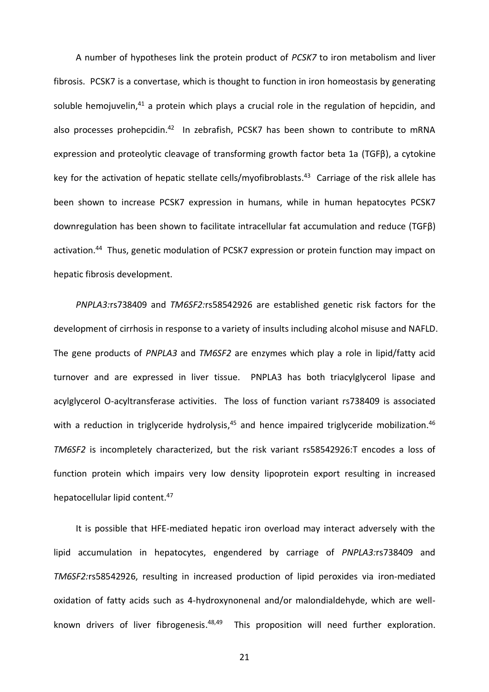A number of hypotheses link the protein product of *PCSK7* to iron metabolism and liver fibrosis. PCSK7 is a convertase, which is thought to function in iron homeostasis by generating soluble hemojuvelin,<sup>41</sup> a protein which plays a crucial role in the regulation of hepcidin, and also processes prohepcidin.<sup>42</sup> In zebrafish, PCSK7 has been shown to contribute to mRNA expression and proteolytic cleavage of transforming growth factor beta 1a (TGFβ), a cytokine key for the activation of hepatic stellate cells/myofibroblasts. 43 Carriage of the risk allele has been shown to increase PCSK7 expression in humans, while in human hepatocytes PCSK7 downregulation has been shown to facilitate intracellular fat accumulation and reduce (TGFβ) activation.<sup>44</sup> Thus, genetic modulation of PCSK7 expression or protein function may impact on hepatic fibrosis development.

*PNPLA3:*rs738409 and *TM6SF2:*rs58542926 are established genetic risk factors for the development of cirrhosis in response to a variety of insults including alcohol misuse and NAFLD. The gene products of *PNPLA3* and *TM6SF2* are enzymes which play a role in lipid/fatty acid turnover and are expressed in liver tissue. PNPLA3 has both triacylglycerol lipase and acylglycerol O-acyltransferase activities. The loss of function variant rs738409 is associated with a reduction in triglyceride hydrolysis,<sup>45</sup> and hence impaired triglyceride mobilization.<sup>46</sup> *TM6SF2* is incompletely characterized, but the risk variant rs58542926:T encodes a loss of function protein which impairs very low density lipoprotein export resulting in increased hepatocellular lipid content.<sup>47</sup>

It is possible that HFE-mediated hepatic iron overload may interact adversely with the lipid accumulation in hepatocytes, engendered by carriage of *PNPLA3:*rs738409 and *TM6SF2:*rs58542926, resulting in increased production of lipid peroxides via iron-mediated oxidation of fatty acids such as 4-hydroxynonenal and/or malondialdehyde, which are wellknown drivers of liver fibrogenesis.<sup>48,49</sup> This proposition will need further exploration.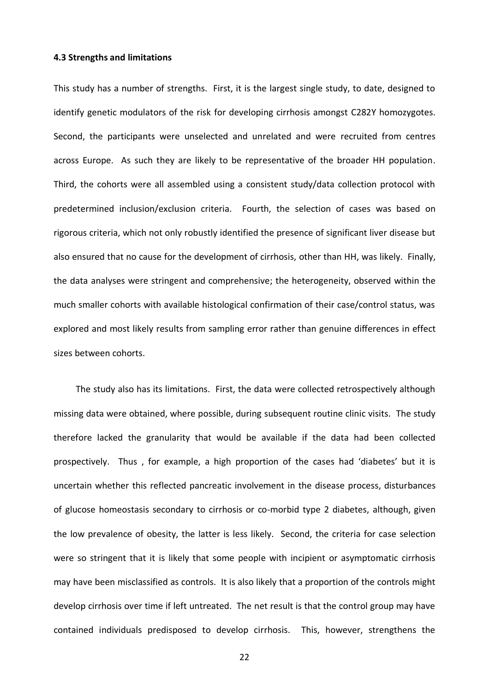#### **4.3 Strengths and limitations**

This study has a number of strengths. First, it is the largest single study, to date, designed to identify genetic modulators of the risk for developing cirrhosis amongst C282Y homozygotes. Second, the participants were unselected and unrelated and were recruited from centres across Europe. As such they are likely to be representative of the broader HH population. Third, the cohorts were all assembled using a consistent study/data collection protocol with predetermined inclusion/exclusion criteria. Fourth, the selection of cases was based on rigorous criteria, which not only robustly identified the presence of significant liver disease but also ensured that no cause for the development of cirrhosis, other than HH, was likely. Finally, the data analyses were stringent and comprehensive; the heterogeneity, observed within the much smaller cohorts with available histological confirmation of their case/control status, was explored and most likely results from sampling error rather than genuine differences in effect sizes between cohorts.

The study also has its limitations. First, the data were collected retrospectively although missing data were obtained, where possible, during subsequent routine clinic visits. The study therefore lacked the granularity that would be available if the data had been collected prospectively. Thus , for example, a high proportion of the cases had 'diabetes' but it is uncertain whether this reflected pancreatic involvement in the disease process, disturbances of glucose homeostasis secondary to cirrhosis or co-morbid type 2 diabetes, although, given the low prevalence of obesity, the latter is less likely. Second, the criteria for case selection were so stringent that it is likely that some people with incipient or asymptomatic cirrhosis may have been misclassified as controls. It is also likely that a proportion of the controls might develop cirrhosis over time if left untreated. The net result is that the control group may have contained individuals predisposed to develop cirrhosis. This, however, strengthens the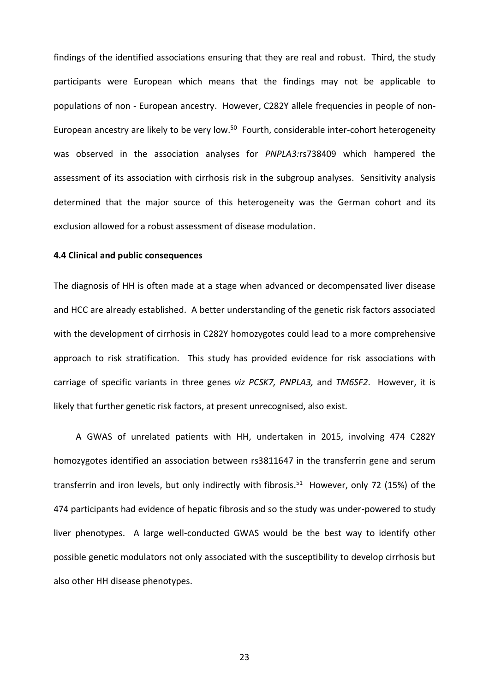findings of the identified associations ensuring that they are real and robust. Third, the study participants were European which means that the findings may not be applicable to populations of non - European ancestry. However, C282Y allele frequencies in people of non-European ancestry are likely to be very low.<sup>50</sup> Fourth, considerable inter-cohort heterogeneity was observed in the association analyses for *PNPLA3:*rs738409 which hampered the assessment of its association with cirrhosis risk in the subgroup analyses. Sensitivity analysis determined that the major source of this heterogeneity was the German cohort and its exclusion allowed for a robust assessment of disease modulation.

## **4.4 Clinical and public consequences**

The diagnosis of HH is often made at a stage when advanced or decompensated liver disease and HCC are already established. A better understanding of the genetic risk factors associated with the development of cirrhosis in C282Y homozygotes could lead to a more comprehensive approach to risk stratification. This study has provided evidence for risk associations with carriage of specific variants in three genes *viz PCSK7, PNPLA3,* and *TM6SF2*. However, it is likely that further genetic risk factors, at present unrecognised, also exist.

A GWAS of unrelated patients with HH, undertaken in 2015, involving 474 C282Y homozygotes identified an association between rs3811647 in the transferrin gene and serum transferrin and iron levels, but only indirectly with fibrosis. <sup>51</sup> However, only 72 (15%) of the 474 participants had evidence of hepatic fibrosis and so the study was under-powered to study liver phenotypes. A large well-conducted GWAS would be the best way to identify other possible genetic modulators not only associated with the susceptibility to develop cirrhosis but also other HH disease phenotypes.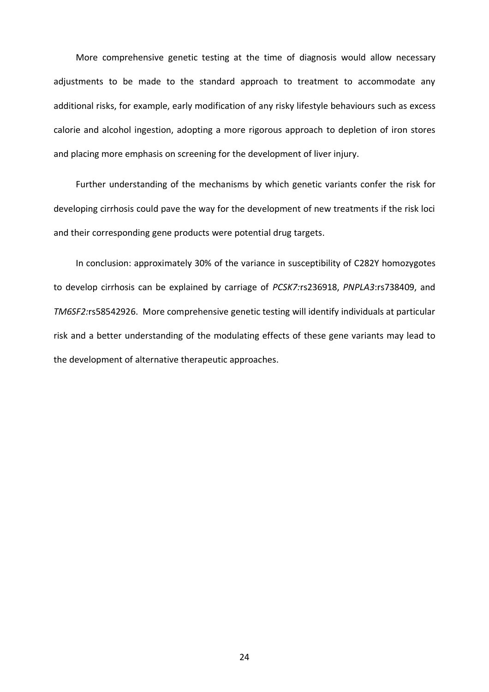More comprehensive genetic testing at the time of diagnosis would allow necessary adjustments to be made to the standard approach to treatment to accommodate any additional risks, for example, early modification of any risky lifestyle behaviours such as excess calorie and alcohol ingestion, adopting a more rigorous approach to depletion of iron stores and placing more emphasis on screening for the development of liver injury.

Further understanding of the mechanisms by which genetic variants confer the risk for developing cirrhosis could pave the way for the development of new treatments if the risk loci and their corresponding gene products were potential drug targets.

In conclusion: approximately 30% of the variance in susceptibility of C282Y homozygotes to develop cirrhosis can be explained by carriage of *PCSK7:*rs236918, *PNPLA3*:rs738409, and *TM6SF2:*rs58542926. More comprehensive genetic testing will identify individuals at particular risk and a better understanding of the modulating effects of these gene variants may lead to the development of alternative therapeutic approaches.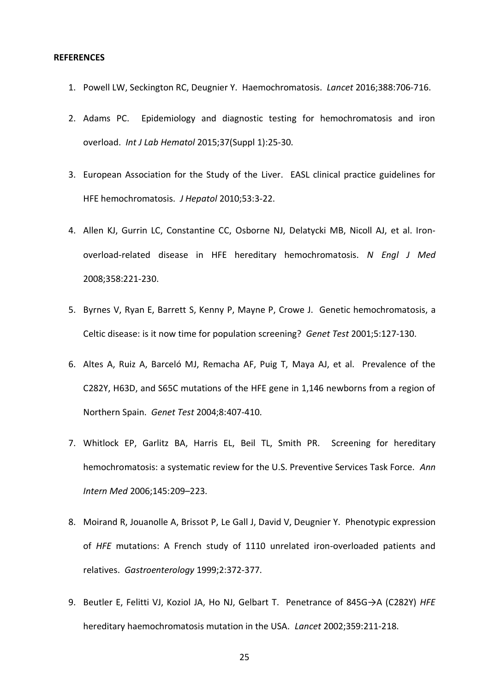#### **REFERENCES**

- 1. Powell LW, Seckington RC, Deugnier Y. Haemochromatosis. *Lancet* 2016;388:706-716.
- 2. Adams PC. Epidemiology and diagnostic testing for hemochromatosis and iron overload. *Int J Lab Hematol* 2015;37(Suppl 1):25-30.
- 3. European Association for the Study of the Liver. EASL clinical practice guidelines for HFE hemochromatosis. *J Hepatol* 2010;53:3-22.
- 4. Allen KJ, Gurrin LC, Constantine CC, Osborne NJ, Delatycki MB, Nicoll AJ, et al. Ironoverload-related disease in HFE hereditary hemochromatosis. *N Engl J Med* 2008;358:221-230.
- 5. Byrnes V, Ryan E, Barrett S, Kenny P, Mayne P, Crowe J. Genetic hemochromatosis, a Celtic disease: is it now time for population screening? *Genet Test* 2001;5:127-130.
- 6. Altes A, Ruiz A, Barceló MJ, Remacha AF, Puig T, Maya AJ, et al. Prevalence of the C282Y, H63D, and S65C mutations of the HFE gene in 1,146 newborns from a region of Northern Spain. *Genet Test* 2004;8:407-410.
- 7. Whitlock EP, Garlitz BA, Harris EL, Beil TL, Smith PR. Screening for hereditary hemochromatosis: a systematic review for the U.S. Preventive Services Task Force. *Ann Intern Med* 2006;145:209–223.
- 8. Moirand R, Jouanolle A, Brissot P, Le Gall J, David V, Deugnier Y. Phenotypic expression of *HFE* mutations: A French study of 1110 unrelated iron-overloaded patients and relatives. *Gastroenterology* 1999;2:372-377.
- 9. Beutler E, Felitti VJ, Koziol JA, Ho NJ, Gelbart T. Penetrance of 845G→A (C282Y) *HFE*  hereditary haemochromatosis mutation in the USA. *Lancet* 2002;359:211-218.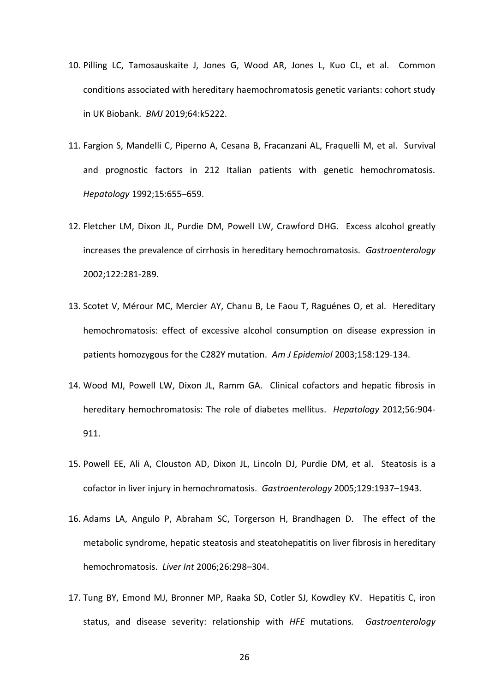- 10. Pilling LC, Tamosauskaite J, Jones G, Wood AR, Jones L, Kuo CL, et al. Common conditions associated with hereditary haemochromatosis genetic variants: cohort study in UK Biobank. *BMJ* 2019;64:k5222.
- 11. Fargion S, Mandelli C, Piperno A, Cesana B, Fracanzani AL, Fraquelli M, et al. Survival and prognostic factors in 212 Italian patients with genetic hemochromatosis. *Hepatology* 1992;15:655–659.
- 12. Fletcher LM, Dixon JL, Purdie DM, Powell LW, Crawford DHG. Excess alcohol greatly increases the prevalence of cirrhosis in hereditary hemochromatosis. *Gastroenterology*  2002;122:281-289.
- 13. Scotet V, Mérour MC, Mercier AY, Chanu B, Le Faou T, Raguénes O, et al. Hereditary hemochromatosis: effect of excessive alcohol consumption on disease expression in patients homozygous for the C282Y mutation. *Am J Epidemiol* 2003;158:129-134.
- 14. Wood MJ, Powell LW, Dixon JL, Ramm GA. Clinical cofactors and hepatic fibrosis in hereditary hemochromatosis: The role of diabetes mellitus. *Hepatology* 2012;56:904- 911.
- 15. Powell EE, Ali A, Clouston AD, Dixon JL, Lincoln DJ, Purdie DM, et al. Steatosis is a cofactor in liver injury in hemochromatosis. *Gastroenterology* 2005;129:1937–1943.
- 16. Adams LA, Angulo P, Abraham SC, Torgerson H, Brandhagen D. The effect of the metabolic syndrome, hepatic steatosis and steatohepatitis on liver fibrosis in hereditary hemochromatosis. *Liver Int* 2006;26:298–304.
- 17. Tung BY, Emond MJ, Bronner MP, Raaka SD, Cotler SJ, Kowdley KV. Hepatitis C, iron status, and disease severity: relationship with *HFE* mutations*. Gastroenterology*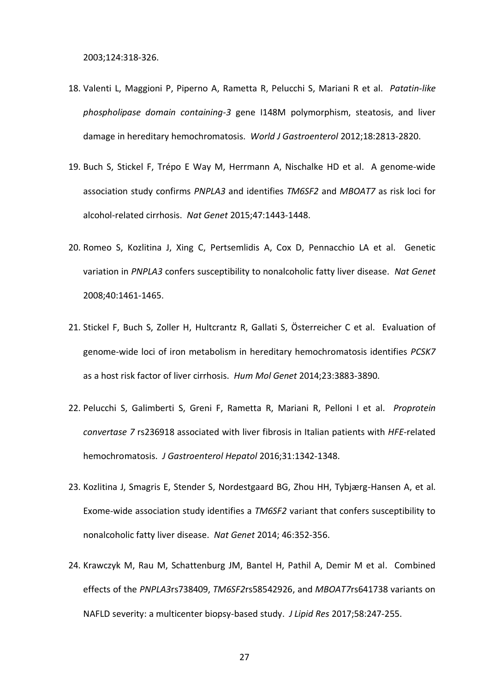2003;124:318-326.

- 18. Valenti L, Maggioni P, Piperno A, Rametta R, Pelucchi S, Mariani R et al. *Patatin-like phospholipase domain containing-3* gene I148M polymorphism, steatosis, and liver damage in hereditary hemochromatosis. *World J Gastroenterol* 2012;18:2813-2820.
- 19. Buch S, Stickel F, Trépo E Way M, Herrmann A, Nischalke HD et al. A genome-wide association study confirms *PNPLA3* and identifies *TM6SF2* and *MBOAT7* as risk loci for alcohol-related cirrhosis. *Nat Genet* 2015;47:1443-1448.
- 20. Romeo S, Kozlitina J, Xing C, Pertsemlidis A, Cox D, Pennacchio LA et al. Genetic variation in *PNPLA3* confers susceptibility to nonalcoholic fatty liver disease. *Nat Genet* 2008;40:1461-1465.
- 21. Stickel F, Buch S, Zoller H, Hultcrantz R, Gallati S, Österreicher C et al. Evaluation of genome-wide loci of iron metabolism in hereditary hemochromatosis identifies *PCSK7* as a host risk factor of liver cirrhosis. *Hum Mol Genet* 2014;23:3883-3890.
- 22. Pelucchi S, Galimberti S, Greni F, Rametta R, Mariani R, Pelloni I et al. *Proprotein convertase 7* rs236918 associated with liver fibrosis in Italian patients with *HFE*-related hemochromatosis. *J Gastroenterol Hepatol* 2016;31:1342-1348.
- 23. Kozlitina J, Smagris E, Stender S, Nordestgaard BG, Zhou HH, Tybjærg-Hansen A, et al. Exome-wide association study identifies a *TM6SF2* variant that confers susceptibility to nonalcoholic fatty liver disease. *Nat Genet* 2014; 46:352-356.
- 24. Krawczyk M, Rau M, Schattenburg JM, Bantel H, Pathil A, Demir M et al. Combined effects of the *PNPLA3*rs738409, *TM6SF2*rs58542926, and *MBOAT7*rs641738 variants on NAFLD severity: a multicenter biopsy-based study. *J Lipid Res* 2017;58:247-255.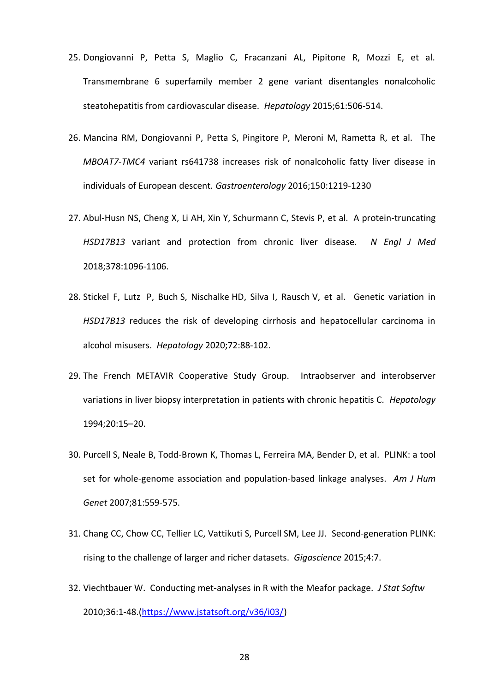- 25. Dongiovanni P, Petta S, Maglio C, Fracanzani AL, Pipitone R, Mozzi E, et al. Transmembrane 6 superfamily member 2 gene variant disentangles nonalcoholic steatohepatitis from cardiovascular disease. *Hepatology* 2015;61:506-514.
- 26. Mancina RM, Dongiovanni P, Petta S, Pingitore P, Meroni M, Rametta R, et al. The *MBOAT7-TMC4* variant rs641738 increases risk of nonalcoholic fatty liver disease in individuals of European descent. *Gastroenterology* 2016;150:1219-1230
- 27. Abul-Husn NS, Cheng X, Li AH, Xin Y, Schurmann C, Stevis P, et al. A protein-truncating *HSD17B13* variant and protection from chronic liver disease. *N Engl J Med* 2018;378:1096-1106.
- 28. Stickel F, Lutz P, Buch S, Nischalke HD, Silva I, Rausch V, et al. Genetic variation in *HSD17B13* reduces the risk of developing cirrhosis and hepatocellular carcinoma in alcohol misusers. *Hepatology* 2020;72:88-102.
- 29. The French METAVIR Cooperative Study Group. Intraobserver and interobserver variations in liver biopsy interpretation in patients with chronic hepatitis C*. Hepatology*  1994;20:15–20.
- 30. Purcell S, Neale B, Todd-Brown K, Thomas L, Ferreira MA, Bender D, et al. PLINK: a tool set for whole-genome association and population-based linkage analyses. *Am J Hum Genet* 2007;81:559-575.
- 31. Chang CC, Chow CC, Tellier LC, Vattikuti S, Purcell SM, Lee JJ. Second-generation PLINK: rising to the challenge of larger and richer datasets. *Gigascience* 2015;4:7.
- 32. Viechtbauer W. Conducting met-analyses in R with the Meafor package. *J Stat Softw* 2010;36:1-48.[\(https://www.jstatsoft.org/v36/i03/\)](https://www.jstatsoft.org/v36/i03/)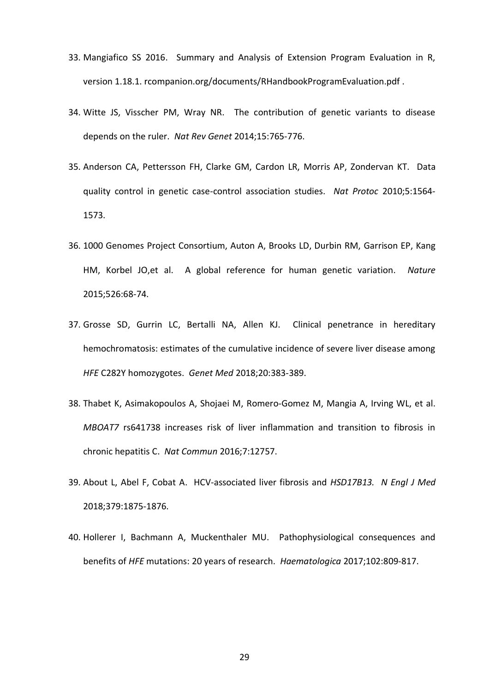- 33. Mangiafico SS 2016. Summary and Analysis of Extension Program Evaluation in R, version 1.18.1. rcompanion.org/documents/RHandbookProgramEvaluation.pdf .
- 34. Witte JS, Visscher PM, Wray NR. The contribution of genetic variants to disease depends on the ruler. *Nat Rev Genet* 2014;15:765-776.
- 35. Anderson CA, Pettersson FH, Clarke GM, Cardon LR, Morris AP, Zondervan KT. Data quality control in genetic case-control association studies. *Nat Protoc* 2010;5:1564- 1573.
- 36. 1000 Genomes Project Consortium, Auton A, Brooks LD, Durbin RM, Garrison EP, Kang HM, Korbel JO,et al. A global reference for human genetic variation. *Nature* 2015;526:68-74.
- 37. Grosse SD, Gurrin LC, Bertalli NA, Allen KJ. Clinical penetrance in hereditary hemochromatosis: estimates of the cumulative incidence of severe liver disease among *HFE* C282Y homozygotes. *Genet Med* 2018;20:383-389.
- 38. Thabet K, Asimakopoulos A, Shojaei M, Romero-Gomez M, Mangia A, Irving WL, et al. *MBOAT7* rs641738 increases risk of liver inflammation and transition to fibrosis in chronic hepatitis C. *Nat Commun* 2016;7:12757.
- 39. About L, Abel F, Cobat A. HCV‐associated liver fibrosis and *HSD17B13. N Engl J Med* 2018;379:1875‐1876.
- 40. Hollerer I, Bachmann A, Muckenthaler MU. Pathophysiological consequences and benefits of *HFE* mutations: 20 years of research. *Haematologica* 2017;102:809-817.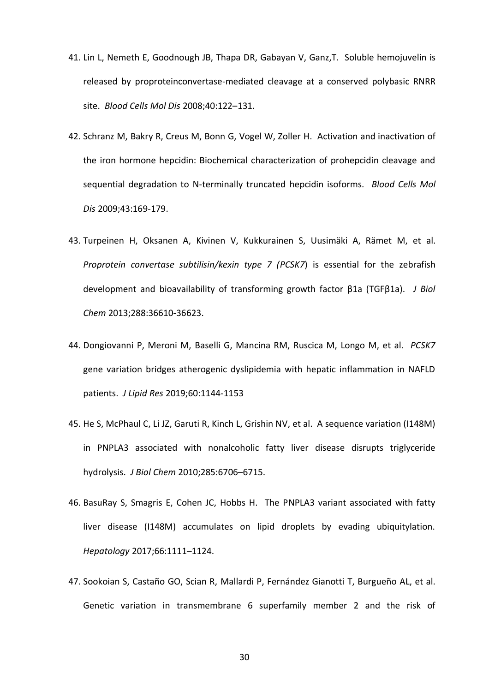- 41. Lin L, Nemeth E, Goodnough JB, Thapa DR, Gabayan V, Ganz,T. Soluble hemojuvelin is released by proproteinconvertase-mediated cleavage at a conserved polybasic RNRR site. *Blood Cells Mol Dis* 2008;40:122–131.
- 42. Schranz M, Bakry R, Creus M, Bonn G, Vogel W, Zoller H. Activation and inactivation of the iron hormone hepcidin: Biochemical characterization of prohepcidin cleavage and sequential degradation to N-terminally truncated hepcidin isoforms. *Blood Cells Mol Dis* 2009;43:169-179.
- 43. Turpeinen H, Oksanen A, Kivinen V, Kukkurainen S, Uusimäki A, Rämet M, et al. *Proprotein convertase subtilisin/kexin type 7 (PCSK7*) is essential for the zebrafish development and bioavailability of transforming growth factor β1a (TGFβ1a). *J Biol Chem* 2013;288:36610-36623.
- 44. Dongiovanni P, Meroni M, Baselli G, Mancina RM, Ruscica M, Longo M, et al. *PCSK7* gene variation bridges atherogenic dyslipidemia with hepatic inflammation in NAFLD patients. *J Lipid Res* 2019;60:1144-1153
- 45. He S, McPhaul C, Li JZ, Garuti R, Kinch L, Grishin NV, et al. A sequence variation (I148M) in PNPLA3 associated with nonalcoholic fatty liver disease disrupts triglyceride hydrolysis. *J Biol Chem* 2010;285:6706–6715.
- 46. BasuRay S, Smagris E, Cohen JC, Hobbs H. The PNPLA3 variant associated with fatty liver disease (I148M) accumulates on lipid droplets by evading ubiquitylation. *Hepatology* 2017;66:1111–1124.
- 47. Sookoian S, Castaño GO, Scian R, Mallardi P, Fernández Gianotti T, Burgueño AL, et al. Genetic variation in transmembrane 6 superfamily member 2 and the risk of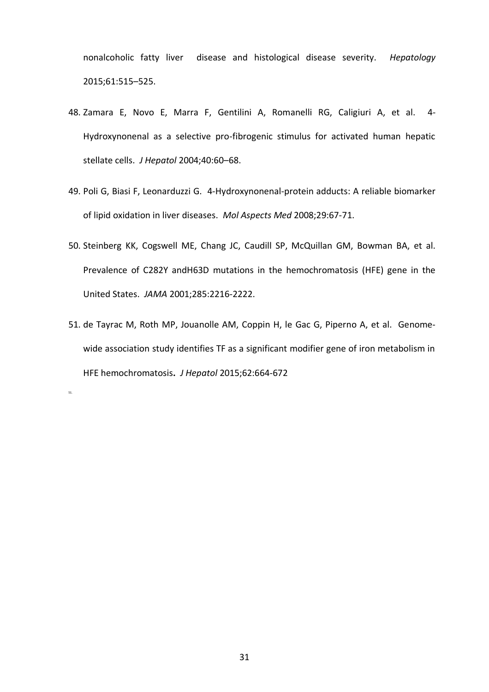nonalcoholic fatty liver disease and histological disease severity. *Hepatology*  2015;61:515–525.

- 48. Zamara E, Novo E, Marra F, Gentilini A, Romanelli RG, Caligiuri A, et al. 4- Hydroxynonenal as a selective pro-fibrogenic stimulus for activated human hepatic stellate cells. *J Hepatol* 2004;40:60–68.
- 49. Poli G, Biasi F, Leonarduzzi G. 4-Hydroxynonenal-protein adducts: A reliable biomarker of lipid oxidation in liver diseases. *Mol Aspects Med* 2008;29:67-71.
- 50. Steinberg KK, Cogswell ME, Chang JC, Caudill SP, McQuillan GM, Bowman BA, et al. Prevalence of C282Y andH63D mutations in the hemochromatosis (HFE) gene in the United States. *JAMA* 2001;285:2216-2222.
- 51. de Tayrac M, Roth MP, Jouanolle AM, Coppin H, le Gac G, Piperno A, et al. Genomewide association study identifies TF as a significant modifier gene of iron metabolism in HFE hemochromatosis**.** *J Hepatol* 2015;62:664-672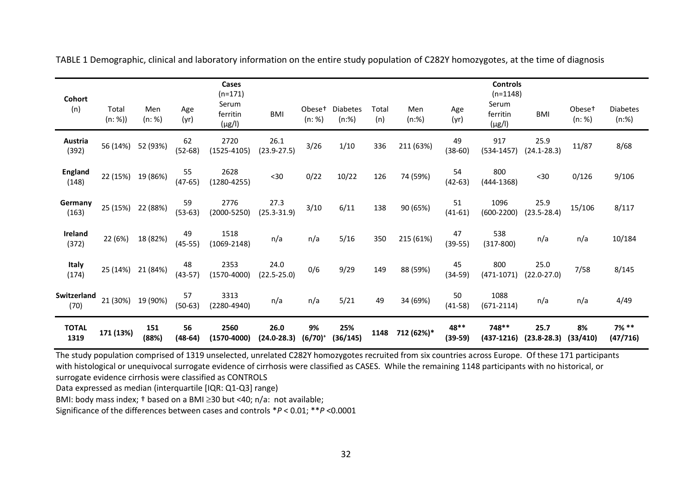| Cohort                  |                  |               |                 | Cases<br>$(n=171)$               |                         |                              |                             |              |              |                   | <b>Controls</b><br>$(n=1148)$    |                         |                              |                             |
|-------------------------|------------------|---------------|-----------------|----------------------------------|-------------------------|------------------------------|-----------------------------|--------------|--------------|-------------------|----------------------------------|-------------------------|------------------------------|-----------------------------|
| (n)                     | Total<br>(n: %)) | Men<br>(n: %) | Age<br>(yr)     | Serum<br>ferritin<br>$(\mu g/I)$ | <b>BMI</b>              | Obese <sup>+</sup><br>(n: %) | <b>Diabetes</b><br>$(n:\%)$ | Total<br>(n) | Men<br>(n:%) | Age<br>(yr)       | Serum<br>ferritin<br>$(\mu g/I)$ | <b>BMI</b>              | Obese <sup>+</sup><br>(n: %) | <b>Diabetes</b><br>$(n:\%)$ |
| Austria<br>(392)        | 56 (14%)         | 52 (93%)      | 62<br>$(52-68)$ | 2720<br>$(1525 - 4105)$          | 26.1<br>$(23.9 - 27.5)$ | 3/26                         | 1/10                        | 336          | 211 (63%)    | 49<br>$(38-60)$   | 917<br>$(534 - 1457)$            | 25.9<br>$(24.1 - 28.3)$ | 11/87                        | 8/68                        |
| <b>England</b><br>(148) | 22 (15%)         | 19 (86%)      | 55<br>$(47-65)$ | 2628<br>$(1280 - 4255)$          | $<30$                   | 0/22                         | 10/22                       | 126          | 74 (59%)     | 54<br>$(42-63)$   | 800<br>$(444-1368)$              | $30$                    | 0/126                        | 9/106                       |
| Germany<br>(163)        | 25 (15%)         | 22 (88%)      | 59<br>$(53-63)$ | 2776<br>$(2000 - 5250)$          | 27.3<br>$(25.3 - 31.9)$ | 3/10                         | 6/11                        | 138          | 90 (65%)     | 51<br>$(41-61)$   | 1096<br>$(600-2200)$             | 25.9<br>$(23.5 - 28.4)$ | 15/106                       | 8/117                       |
| Ireland<br>(372)        | 22 (6%)          | 18 (82%)      | 49<br>$(45-55)$ | 1518<br>$(1069 - 2148)$          | n/a                     | n/a                          | 5/16                        | 350          | 215 (61%)    | 47<br>$(39-55)$   | 538<br>$(317-800)$               | n/a                     | n/a                          | 10/184                      |
| <b>Italy</b><br>(174)   | 25 (14%)         | 21 (84%)      | 48<br>$(43-57)$ | 2353<br>$(1570 - 4000)$          | 24.0<br>$(22.5 - 25.0)$ | 0/6                          | 9/29                        | 149          | 88 (59%)     | 45<br>$(34-59)$   | 800<br>$(471 - 1071)$            | 25.0<br>$(22.0 - 27.0)$ | 7/58                         | 8/145                       |
| Switzerland<br>(70)     | 21 (30%)         | 19 (90%)      | 57<br>$(50-63)$ | 3313<br>$(2280 - 4940)$          | n/a                     | n/a                          | 5/21                        | 49           | 34 (69%)     | 50<br>$(41-58)$   | 1088<br>$(671 - 2114)$           | n/a                     | n/a                          | 4/49                        |
| <b>TOTAL</b><br>1319    | 171 (13%)        | 151<br>(88%)  | 56<br>$(48-64)$ | 2560<br>(1570-4000)              | 26.0<br>$(24.0 - 28.3)$ | 9%<br>$(6/70)^+$             | 25%<br>(36/145)             | 1148         | 712 (62%)*   | 48**<br>$(39-59)$ | 748**<br>$(437-1216)$            | 25.7<br>$(23.8 - 28.3)$ | 8%<br>(33/410)               | $7\%$ **<br>(47/716)        |

TABLE 1 Demographic, clinical and laboratory information on the entire study population of C282Y homozygotes, at the time of diagnosis

The study population comprised of 1319 unselected, unrelated C282Y homozygotes recruited from six countries across Europe. Of these 171 participants with histological or unequivocal surrogate evidence of cirrhosis were classified as CASES. While the remaining 1148 participants with no historical, or surrogate evidence cirrhosis were classified as CONTROLS

Data expressed as median (interquartile [IQR: Q1-Q3] range)

BMI: body mass index;  $\dagger$  based on a BMI  $\geq$ 30 but <40; n/a: not available;

Significance of the differences between cases and controls \**P* < 0.01; \*\**P* <0.0001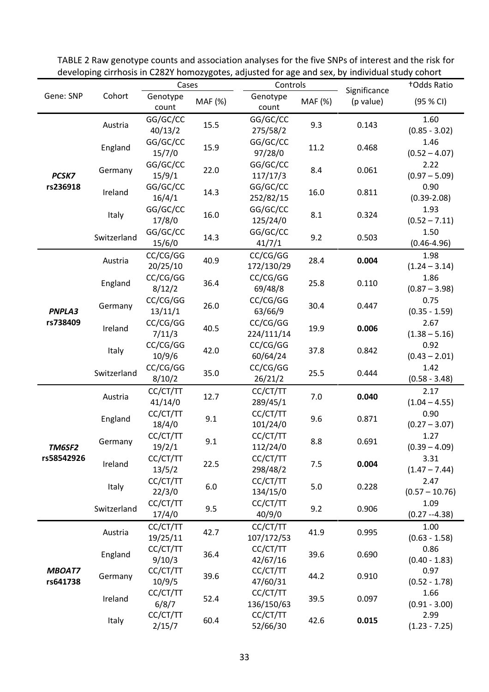|                           |             | Cases                |         | Controls               |         |                           | +Odds Ratio              |
|---------------------------|-------------|----------------------|---------|------------------------|---------|---------------------------|--------------------------|
| Gene: SNP                 | Cohort      | Genotype<br>count    | MAF (%) | Genotype<br>count      | MAF (%) | Significance<br>(p value) | (95 % CI)                |
| PCSK7<br>rs236918         | Austria     | GG/GC/CC<br>40/13/2  | 15.5    | GG/GC/CC<br>275/58/2   | 9.3     | 0.143                     | 1.60<br>$(0.85 - 3.02)$  |
|                           | England     | GG/GC/CC<br>15/7/0   | 15.9    | GG/GC/CC<br>97/28/0    | 11.2    | 0.468                     | 1.46<br>$(0.52 - 4.07)$  |
|                           | Germany     | GG/GC/CC<br>15/9/1   | 22.0    | GG/GC/CC<br>117/17/3   | 8.4     | 0.061                     | 2.22<br>$(0.97 - 5.09)$  |
|                           | Ireland     | GG/GC/CC<br>16/4/1   | 14.3    | GG/GC/CC<br>252/82/15  | 16.0    | 0.811                     | 0.90<br>$(0.39 - 2.08)$  |
|                           | Italy       | GG/GC/CC<br>17/8/0   | 16.0    | GG/GC/CC<br>125/24/0   | 8.1     | 0.324                     | 1.93<br>$(0.52 - 7.11)$  |
|                           | Switzerland | GG/GC/CC<br>15/6/0   | 14.3    | GG/GC/CC<br>41/7/1     | 9.2     | 0.503                     | 1.50<br>$(0.46 - 4.96)$  |
|                           | Austria     | CC/CG/GG<br>20/25/10 | 40.9    | CC/CG/GG<br>172/130/29 | 28.4    | 0.004                     | 1.98<br>$(1.24 - 3.14)$  |
|                           | England     | CC/CG/GG<br>8/12/2   | 36.4    | CC/CG/GG<br>69/48/8    | 25.8    | 0.110                     | 1.86<br>$(0.87 - 3.98)$  |
| PNPLA3                    | Germany     | CC/CG/GG<br>13/11/1  | 26.0    | CC/CG/GG<br>63/66/9    | 30.4    | 0.447                     | 0.75<br>$(0.35 - 1.59)$  |
| rs738409                  | Ireland     | CC/CG/GG<br>7/11/3   | 40.5    | CC/CG/GG<br>224/111/14 | 19.9    | 0.006                     | 2.67<br>$(1.38 - 5.16)$  |
|                           | Italy       | CC/CG/GG<br>10/9/6   | 42.0    | CC/CG/GG<br>60/64/24   | 37.8    | 0.842                     | 0.92<br>$(0.43 - 2.01)$  |
|                           | Switzerland | CC/CG/GG<br>8/10/2   | 35.0    | CC/CG/GG<br>26/21/2    | 25.5    | 0.444                     | 1.42<br>$(0.58 - 3.48)$  |
|                           | Austria     | CC/CT/TT<br>41/14/0  | 12.7    | CC/CT/TT<br>289/45/1   | 7.0     | 0.040                     | 2.17<br>$(1.04 - 4.55)$  |
|                           | England     | CC/CT/TT<br>18/4/0   | 9.1     | CC/CT/TT<br>101/24/0   | 9.6     | 0.871                     | 0.90<br>$(0.27 - 3.07)$  |
| TM6SF2                    | Germany     | CC/CT/TT<br>19/2/1   | 9.1     | CC/CT/TT<br>112/24/0   | 8.8     | 0.691                     | 1.27<br>$(0.39 - 4.09)$  |
| rs58542926                | Ireland     | CC/CT/TT<br>13/5/2   | 22.5    | CC/CT/TT<br>298/48/2   | 7.5     | 0.004                     | 3.31<br>$(1.47 - 7.44)$  |
|                           | Italy       | CC/CT/TT<br>22/3/0   | 6.0     | CC/CT/TT<br>134/15/0   | 5.0     | 0.228                     | 2.47<br>$(0.57 - 10.76)$ |
|                           | Switzerland | CC/CT/TT<br>17/4/0   | 9.5     | CC/CT/TT<br>40/9/0     | 9.2     | 0.906                     | 1.09<br>$(0.27 - 4.38)$  |
|                           | Austria     | CC/CT/TT<br>19/25/11 | 42.7    | CC/CT/TT<br>107/172/53 | 41.9    | 0.995                     | 1.00<br>$(0.63 - 1.58)$  |
|                           | England     | CC/CT/TT<br>9/10/3   | 36.4    | CC/CT/TT<br>42/67/16   | 39.6    | 0.690                     | 0.86<br>$(0.40 - 1.83)$  |
| <b>MBOAT7</b><br>rs641738 | Germany     | CC/CT/TT<br>10/9/5   | 39.6    | CC/CT/TT<br>47/60/31   | 44.2    | 0.910                     | 0.97<br>$(0.52 - 1.78)$  |
|                           | Ireland     | CC/CT/TT<br>6/8/7    | 52.4    | CC/CT/TT<br>136/150/63 | 39.5    | 0.097                     | 1.66<br>$(0.91 - 3.00)$  |
|                           | Italy       | CC/CT/TT<br>2/15/7   | 60.4    | CC/CT/TT<br>52/66/30   | 42.6    | 0.015                     | 2.99<br>$(1.23 - 7.25)$  |

TABLE 2 Raw genotype counts and association analyses for the five SNPs of interest and the risk for developing cirrhosis in C282Y homozygotes, adjusted for age and sex, by individual study cohort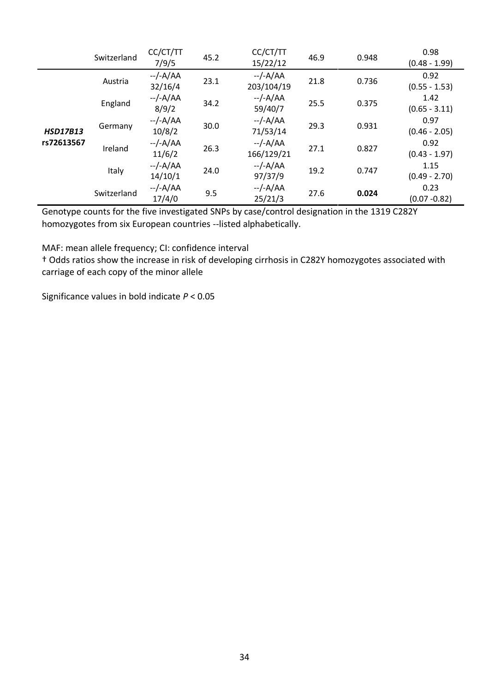|                 | Switzerland | CC/CT/TT<br>7/9/5    | 45.2 | CC/CT/TT<br>15/22/12    | 46.9 | 0.948 | 0.98<br>$(0.48 - 1.99)$ |
|-----------------|-------------|----------------------|------|-------------------------|------|-------|-------------------------|
|                 | Austria     | --/-A/AA<br>32/16/4  | 23.1 | $-/-A/AA$<br>203/104/19 | 21.8 | 0.736 | 0.92<br>$(0.55 - 1.53)$ |
|                 | England     | $-/-A/AA$<br>8/9/2   | 34.2 | $-/-A/AA$<br>59/40/7    | 25.5 | 0.375 | 1.42<br>$(0.65 - 3.11)$ |
| <b>HSD17B13</b> | Germany     | $-/-A/AA$<br>10/8/2  | 30.0 | $-/-A/AA$<br>71/53/14   | 29.3 | 0.931 | 0.97<br>$(0.46 - 2.05)$ |
| rs72613567      | Ireland     | --/-A/AA<br>11/6/2   | 26.3 | $-/-A/AA$<br>166/129/21 | 27.1 | 0.827 | 0.92<br>$(0.43 - 1.97)$ |
|                 | Italy       | $-/-A/AA$<br>14/10/1 | 24.0 | --/-A/AA<br>97/37/9     | 19.2 | 0.747 | 1.15<br>$(0.49 - 2.70)$ |
|                 | Switzerland | $-/-A/AA$<br>17/4/0  | 9.5  | $-/-A/AA$<br>25/21/3    | 27.6 | 0.024 | 0.23<br>$(0.07 - 0.82)$ |

Genotype counts for the five investigated SNPs by case/control designation in the 1319 C282Y homozygotes from six European countries --listed alphabetically.

MAF: mean allele frequency; CI: confidence interval

† Odds ratios show the increase in risk of developing cirrhosis in C282Y homozygotes associated with carriage of each copy of the minor allele

Significance values in bold indicate *P* < 0.05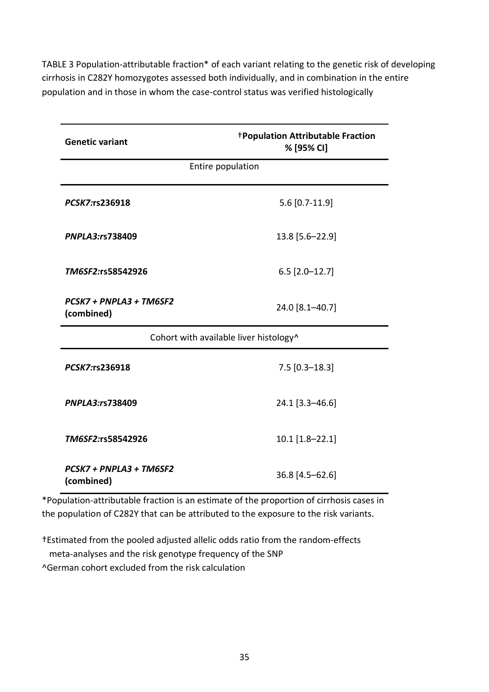TABLE 3 Population-attributable fraction\* of each variant relating to the genetic risk of developing cirrhosis in C282Y homozygotes assessed both individually, and in combination in the entire population and in those in whom the case-control status was verified histologically

| <b>Genetic variant</b>                 | <b>†Population Attributable Fraction</b><br>% [95% CI] |  |  |  |  |  |  |
|----------------------------------------|--------------------------------------------------------|--|--|--|--|--|--|
| Entire population                      |                                                        |  |  |  |  |  |  |
| PCSK7:rs236918                         | $5.6$ [0.7-11.9]                                       |  |  |  |  |  |  |
| PNPLA3:rs738409                        | 13.8 [5.6-22.9]                                        |  |  |  |  |  |  |
| TM6SF2:rs58542926                      | $6.5$ [2.0-12.7]                                       |  |  |  |  |  |  |
| PCSK7 + PNPLA3 + TM6SF2<br>(combined)  | 24.0 [8.1-40.7]                                        |  |  |  |  |  |  |
| Cohort with available liver histology^ |                                                        |  |  |  |  |  |  |
| PCSK7:rs236918                         | $7.5$ [0.3-18.3]                                       |  |  |  |  |  |  |
| PNPLA3:rs738409                        | 24.1 [3.3-46.6]                                        |  |  |  |  |  |  |
| TM6SF2:rs58542926                      | $10.1$ [1.8-22.1]                                      |  |  |  |  |  |  |
| PCSK7 + PNPLA3 + TM6SF2<br>(combined)  | 36.8 [4.5-62.6]                                        |  |  |  |  |  |  |

\*Population-attributable fraction is an estimate of the proportion of cirrhosis cases in the population of C282Y that can be attributed to the exposure to the risk variants.

†Estimated from the pooled adjusted allelic odds ratio from the random-effects meta-analyses and the risk genotype frequency of the SNP ^German cohort excluded from the risk calculation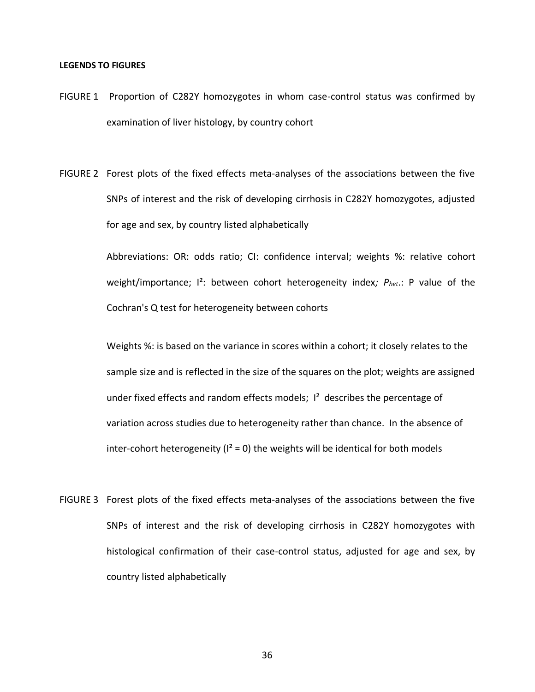#### **LEGENDS TO FIGURES**

- FIGURE 1 Proportion of C282Y homozygotes in whom case-control status was confirmed by examination of liver histology, by country cohort
- FIGURE 2 Forest plots of the fixed effects meta-analyses of the associations between the five SNPs of interest and the risk of developing cirrhosis in C282Y homozygotes, adjusted for age and sex, by country listed alphabetically

Abbreviations: OR: odds ratio; CI: confidence interval; weights %: relative cohort weight/importance; I²: between cohort heterogeneity index*; Phet*.: P value of the Cochran's Q test for heterogeneity between cohorts

Weights %: is based on the variance in scores within a cohort; it closely relates to the sample size and is reflected in the size of the squares on the plot; weights are assigned under fixed effects and random effects models;  $1<sup>2</sup>$  describes the percentage of variation across studies due to heterogeneity rather than chance. In the absence of inter-cohort heterogeneity ( $I^2 = 0$ ) the weights will be identical for both models

FIGURE 3 Forest plots of the fixed effects meta-analyses of the associations between the five SNPs of interest and the risk of developing cirrhosis in C282Y homozygotes with histological confirmation of their case-control status, adjusted for age and sex, by country listed alphabetically